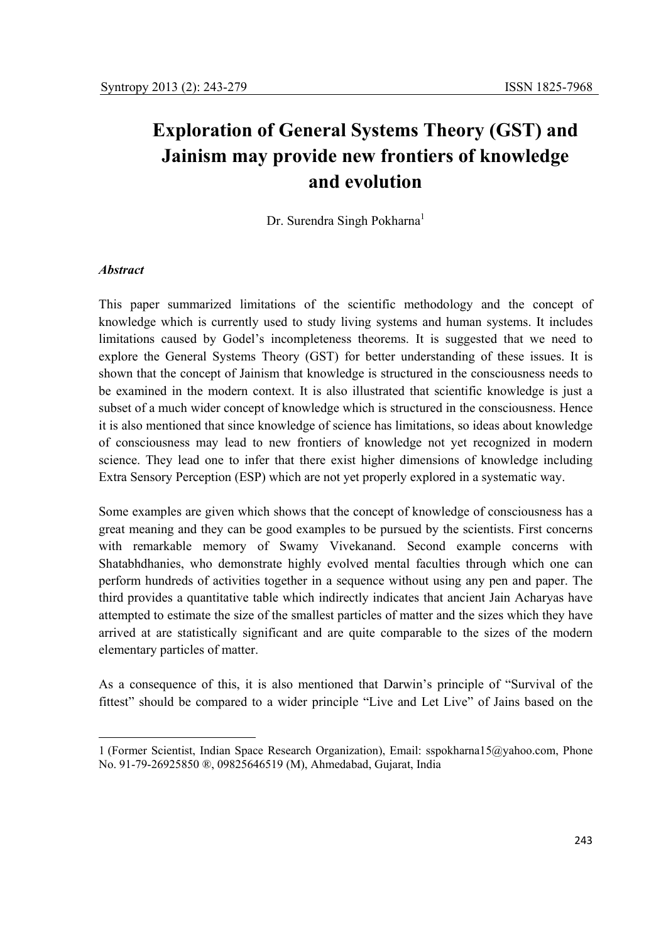# **Exploration of General Systems Theory (GST) and Jainism may provide new frontiers of knowledge and evolution**

Dr. Surendra Singh Pokharna<sup>1</sup>

### *Abstract*

 $\overline{a}$ 

This paper summarized limitations of the scientific methodology and the concept of knowledge which is currently used to study living systems and human systems. It includes limitations caused by Godel's incompleteness theorems. It is suggested that we need to explore the General Systems Theory (GST) for better understanding of these issues. It is shown that the concept of Jainism that knowledge is structured in the consciousness needs to be examined in the modern context. It is also illustrated that scientific knowledge is just a subset of a much wider concept of knowledge which is structured in the consciousness. Hence it is also mentioned that since knowledge of science has limitations, so ideas about knowledge of consciousness may lead to new frontiers of knowledge not yet recognized in modern science. They lead one to infer that there exist higher dimensions of knowledge including Extra Sensory Perception (ESP) which are not yet properly explored in a systematic way.

Some examples are given which shows that the concept of knowledge of consciousness has a great meaning and they can be good examples to be pursued by the scientists. First concerns with remarkable memory of Swamy Vivekanand. Second example concerns with Shatabhdhanies, who demonstrate highly evolved mental faculties through which one can perform hundreds of activities together in a sequence without using any pen and paper. The third provides a quantitative table which indirectly indicates that ancient Jain Acharyas have attempted to estimate the size of the smallest particles of matter and the sizes which they have arrived at are statistically significant and are quite comparable to the sizes of the modern elementary particles of matter.

As a consequence of this, it is also mentioned that Darwin's principle of "Survival of the fittest" should be compared to a wider principle "Live and Let Live" of Jains based on the

<sup>1 (</sup>Former Scientist, Indian Space Research Organization), Email: sspokharna15@yahoo.com, Phone No. 91-79-26925850 ®, 09825646519 (M), Ahmedabad, Gujarat, India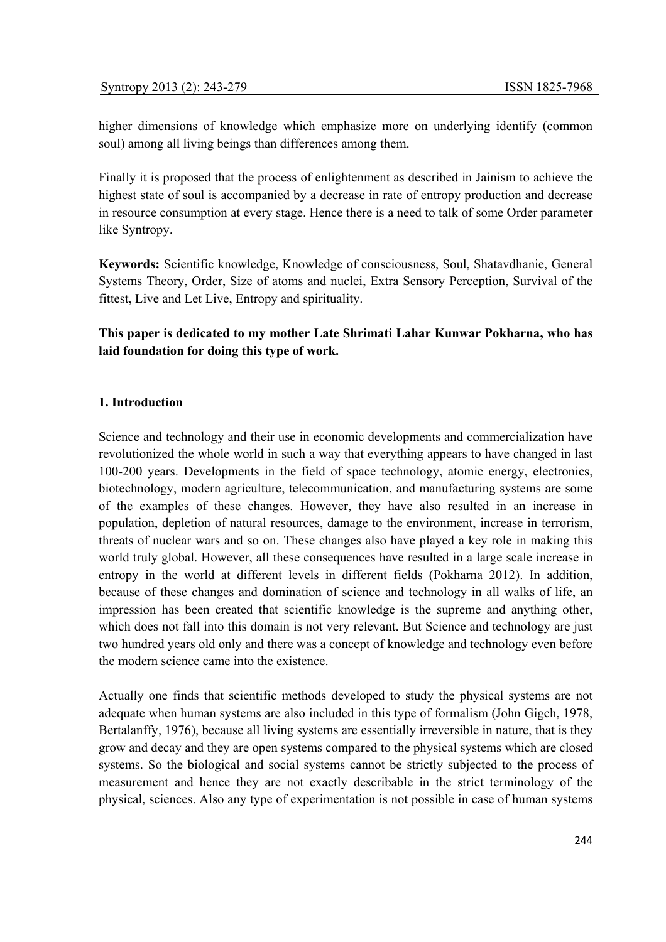higher dimensions of knowledge which emphasize more on underlying identify (common soul) among all living beings than differences among them.

Finally it is proposed that the process of enlightenment as described in Jainism to achieve the highest state of soul is accompanied by a decrease in rate of entropy production and decrease in resource consumption at every stage. Hence there is a need to talk of some Order parameter like Syntropy.

**Keywords:** Scientific knowledge, Knowledge of consciousness, Soul, Shatavdhanie, General Systems Theory, Order, Size of atoms and nuclei, Extra Sensory Perception, Survival of the fittest, Live and Let Live, Entropy and spirituality.

**This paper is dedicated to my mother Late Shrimati Lahar Kunwar Pokharna, who has laid foundation for doing this type of work.** 

### **1. Introduction**

Science and technology and their use in economic developments and commercialization have revolutionized the whole world in such a way that everything appears to have changed in last 100-200 years. Developments in the field of space technology, atomic energy, electronics, biotechnology, modern agriculture, telecommunication, and manufacturing systems are some of the examples of these changes. However, they have also resulted in an increase in population, depletion of natural resources, damage to the environment, increase in terrorism, threats of nuclear wars and so on. These changes also have played a key role in making this world truly global. However, all these consequences have resulted in a large scale increase in entropy in the world at different levels in different fields (Pokharna 2012). In addition, because of these changes and domination of science and technology in all walks of life, an impression has been created that scientific knowledge is the supreme and anything other, which does not fall into this domain is not very relevant. But Science and technology are just two hundred years old only and there was a concept of knowledge and technology even before the modern science came into the existence.

Actually one finds that scientific methods developed to study the physical systems are not adequate when human systems are also included in this type of formalism (John Gigch, 1978, Bertalanffy, 1976), because all living systems are essentially irreversible in nature, that is they grow and decay and they are open systems compared to the physical systems which are closed systems. So the biological and social systems cannot be strictly subjected to the process of measurement and hence they are not exactly describable in the strict terminology of the physical, sciences. Also any type of experimentation is not possible in case of human systems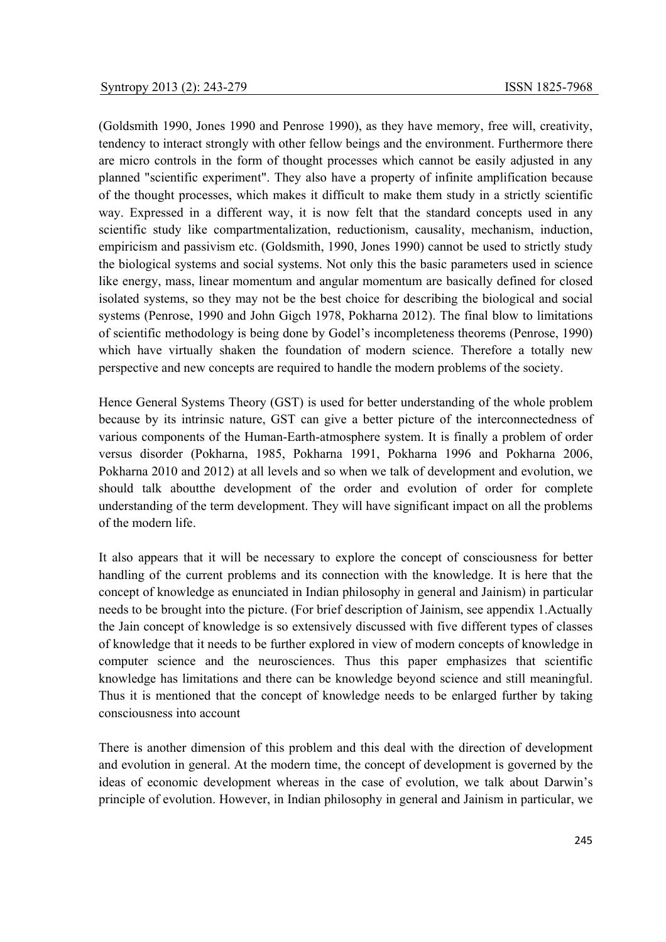(Goldsmith 1990, Jones 1990 and Penrose 1990), as they have memory, free will, creativity, tendency to interact strongly with other fellow beings and the environment. Furthermore there are micro controls in the form of thought processes which cannot be easily adjusted in any planned "scientific experiment". They also have a property of infinite amplification because of the thought processes, which makes it difficult to make them study in a strictly scientific way. Expressed in a different way, it is now felt that the standard concepts used in any scientific study like compartmentalization, reductionism, causality, mechanism, induction, empiricism and passivism etc. (Goldsmith, 1990, Jones 1990) cannot be used to strictly study the biological systems and social systems. Not only this the basic parameters used in science like energy, mass, linear momentum and angular momentum are basically defined for closed isolated systems, so they may not be the best choice for describing the biological and social systems (Penrose, 1990 and John Gigch 1978, Pokharna 2012). The final blow to limitations of scientific methodology is being done by Godel's incompleteness theorems (Penrose, 1990) which have virtually shaken the foundation of modern science. Therefore a totally new perspective and new concepts are required to handle the modern problems of the society.

Hence General Systems Theory (GST) is used for better understanding of the whole problem because by its intrinsic nature, GST can give a better picture of the interconnectedness of various components of the Human-Earth-atmosphere system. It is finally a problem of order versus disorder (Pokharna, 1985, Pokharna 1991, Pokharna 1996 and Pokharna 2006, Pokharna 2010 and 2012) at all levels and so when we talk of development and evolution, we should talk aboutthe development of the order and evolution of order for complete understanding of the term development. They will have significant impact on all the problems of the modern life.

It also appears that it will be necessary to explore the concept of consciousness for better handling of the current problems and its connection with the knowledge. It is here that the concept of knowledge as enunciated in Indian philosophy in general and Jainism) in particular needs to be brought into the picture. (For brief description of Jainism, see appendix 1.Actually the Jain concept of knowledge is so extensively discussed with five different types of classes of knowledge that it needs to be further explored in view of modern concepts of knowledge in computer science and the neurosciences. Thus this paper emphasizes that scientific knowledge has limitations and there can be knowledge beyond science and still meaningful. Thus it is mentioned that the concept of knowledge needs to be enlarged further by taking consciousness into account

There is another dimension of this problem and this deal with the direction of development and evolution in general. At the modern time, the concept of development is governed by the ideas of economic development whereas in the case of evolution, we talk about Darwin's principle of evolution. However, in Indian philosophy in general and Jainism in particular, we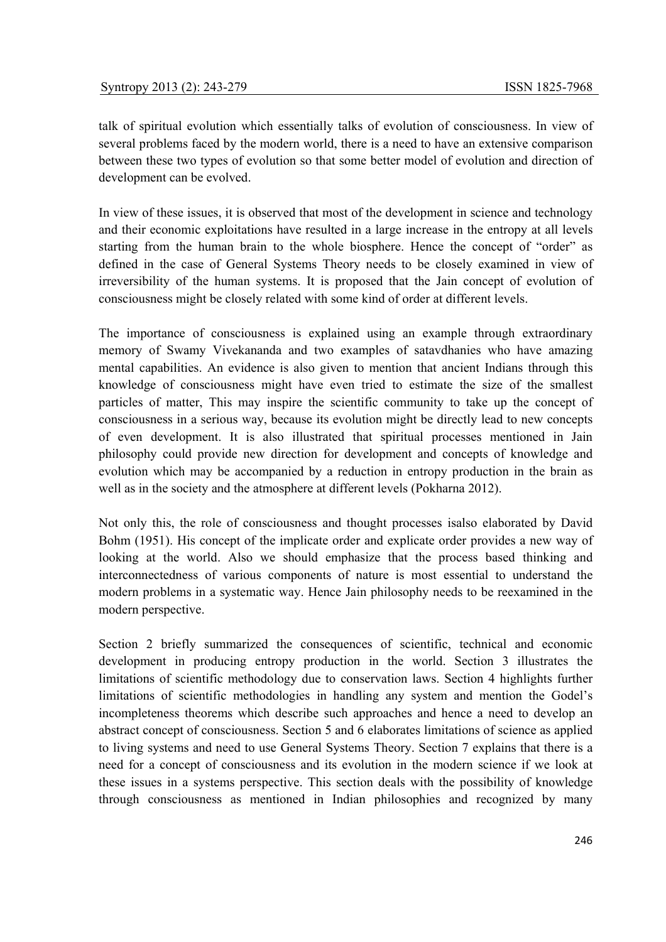talk of spiritual evolution which essentially talks of evolution of consciousness. In view of several problems faced by the modern world, there is a need to have an extensive comparison between these two types of evolution so that some better model of evolution and direction of development can be evolved.

In view of these issues, it is observed that most of the development in science and technology and their economic exploitations have resulted in a large increase in the entropy at all levels starting from the human brain to the whole biosphere. Hence the concept of "order" as defined in the case of General Systems Theory needs to be closely examined in view of irreversibility of the human systems. It is proposed that the Jain concept of evolution of consciousness might be closely related with some kind of order at different levels.

The importance of consciousness is explained using an example through extraordinary memory of Swamy Vivekananda and two examples of satavdhanies who have amazing mental capabilities. An evidence is also given to mention that ancient Indians through this knowledge of consciousness might have even tried to estimate the size of the smallest particles of matter, This may inspire the scientific community to take up the concept of consciousness in a serious way, because its evolution might be directly lead to new concepts of even development. It is also illustrated that spiritual processes mentioned in Jain philosophy could provide new direction for development and concepts of knowledge and evolution which may be accompanied by a reduction in entropy production in the brain as well as in the society and the atmosphere at different levels (Pokharna 2012).

Not only this, the role of consciousness and thought processes isalso elaborated by David Bohm (1951). His concept of the implicate order and explicate order provides a new way of looking at the world. Also we should emphasize that the process based thinking and interconnectedness of various components of nature is most essential to understand the modern problems in a systematic way. Hence Jain philosophy needs to be reexamined in the modern perspective.

Section 2 briefly summarized the consequences of scientific, technical and economic development in producing entropy production in the world. Section 3 illustrates the limitations of scientific methodology due to conservation laws. Section 4 highlights further limitations of scientific methodologies in handling any system and mention the Godel's incompleteness theorems which describe such approaches and hence a need to develop an abstract concept of consciousness. Section 5 and 6 elaborates limitations of science as applied to living systems and need to use General Systems Theory. Section 7 explains that there is a need for a concept of consciousness and its evolution in the modern science if we look at these issues in a systems perspective. This section deals with the possibility of knowledge through consciousness as mentioned in Indian philosophies and recognized by many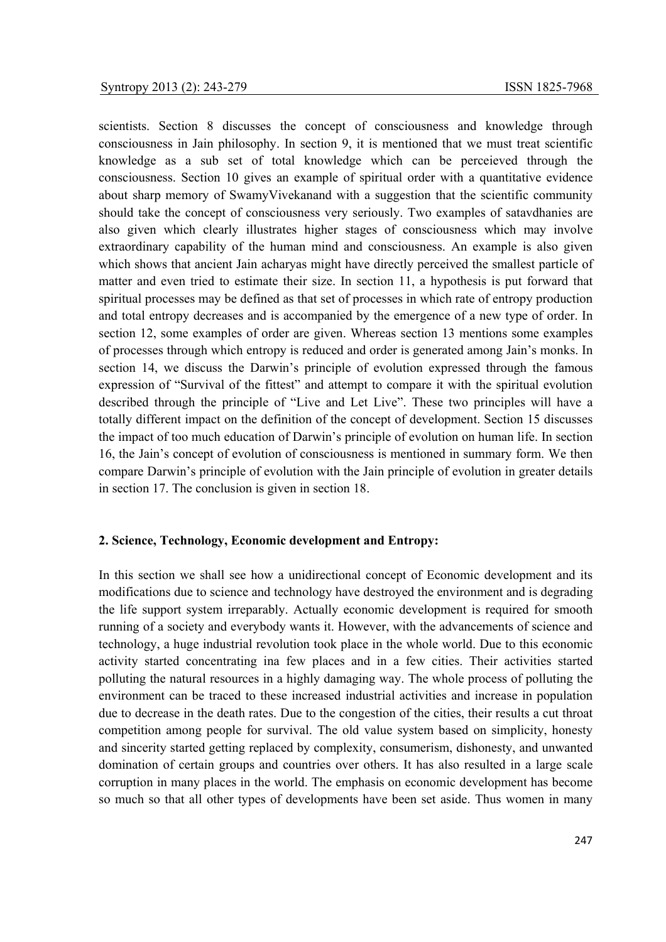scientists. Section 8 discusses the concept of consciousness and knowledge through consciousness in Jain philosophy. In section 9, it is mentioned that we must treat scientific knowledge as a sub set of total knowledge which can be perceieved through the consciousness. Section 10 gives an example of spiritual order with a quantitative evidence about sharp memory of SwamyVivekanand with a suggestion that the scientific community should take the concept of consciousness very seriously. Two examples of satavdhanies are also given which clearly illustrates higher stages of consciousness which may involve extraordinary capability of the human mind and consciousness. An example is also given which shows that ancient Jain acharyas might have directly perceived the smallest particle of matter and even tried to estimate their size. In section 11, a hypothesis is put forward that spiritual processes may be defined as that set of processes in which rate of entropy production and total entropy decreases and is accompanied by the emergence of a new type of order. In section 12, some examples of order are given. Whereas section 13 mentions some examples of processes through which entropy is reduced and order is generated among Jain's monks. In section 14, we discuss the Darwin's principle of evolution expressed through the famous expression of "Survival of the fittest" and attempt to compare it with the spiritual evolution described through the principle of "Live and Let Live". These two principles will have a totally different impact on the definition of the concept of development. Section 15 discusses the impact of too much education of Darwin's principle of evolution on human life. In section 16, the Jain's concept of evolution of consciousness is mentioned in summary form. We then compare Darwin's principle of evolution with the Jain principle of evolution in greater details in section 17. The conclusion is given in section 18.

### **2. Science, Technology, Economic development and Entropy:**

In this section we shall see how a unidirectional concept of Economic development and its modifications due to science and technology have destroyed the environment and is degrading the life support system irreparably. Actually economic development is required for smooth running of a society and everybody wants it. However, with the advancements of science and technology, a huge industrial revolution took place in the whole world. Due to this economic activity started concentrating ina few places and in a few cities. Their activities started polluting the natural resources in a highly damaging way. The whole process of polluting the environment can be traced to these increased industrial activities and increase in population due to decrease in the death rates. Due to the congestion of the cities, their results a cut throat competition among people for survival. The old value system based on simplicity, honesty and sincerity started getting replaced by complexity, consumerism, dishonesty, and unwanted domination of certain groups and countries over others. It has also resulted in a large scale corruption in many places in the world. The emphasis on economic development has become so much so that all other types of developments have been set aside. Thus women in many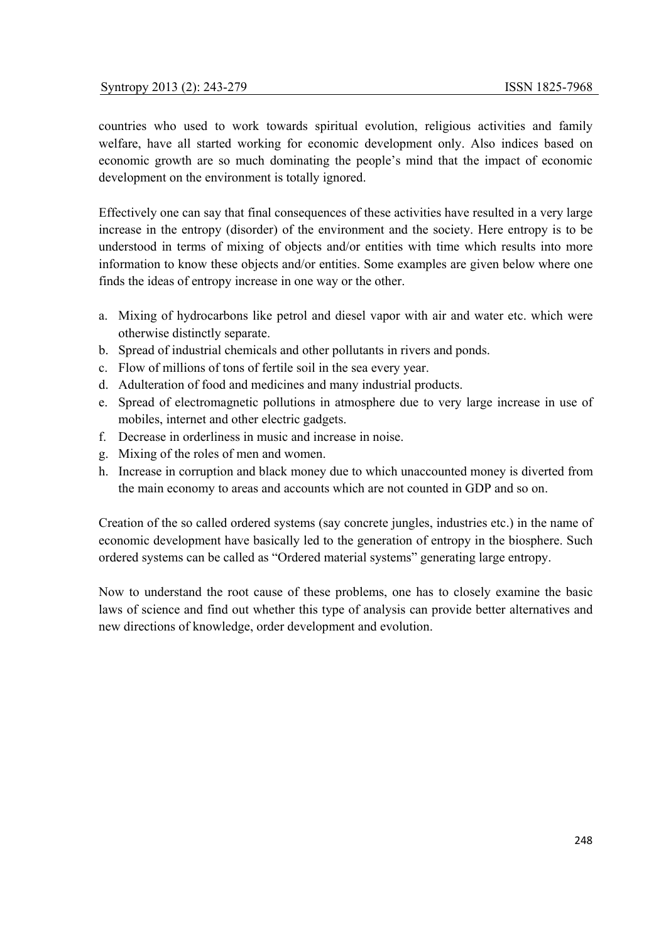countries who used to work towards spiritual evolution, religious activities and family welfare, have all started working for economic development only. Also indices based on economic growth are so much dominating the people's mind that the impact of economic development on the environment is totally ignored.

Effectively one can say that final consequences of these activities have resulted in a very large increase in the entropy (disorder) of the environment and the society. Here entropy is to be understood in terms of mixing of objects and/or entities with time which results into more information to know these objects and/or entities. Some examples are given below where one finds the ideas of entropy increase in one way or the other.

- a. Mixing of hydrocarbons like petrol and diesel vapor with air and water etc. which were otherwise distinctly separate.
- b. Spread of industrial chemicals and other pollutants in rivers and ponds.
- c. Flow of millions of tons of fertile soil in the sea every year.
- d. Adulteration of food and medicines and many industrial products.
- e. Spread of electromagnetic pollutions in atmosphere due to very large increase in use of mobiles, internet and other electric gadgets.
- f. Decrease in orderliness in music and increase in noise.
- g. Mixing of the roles of men and women.
- h. Increase in corruption and black money due to which unaccounted money is diverted from the main economy to areas and accounts which are not counted in GDP and so on.

Creation of the so called ordered systems (say concrete jungles, industries etc.) in the name of economic development have basically led to the generation of entropy in the biosphere. Such ordered systems can be called as "Ordered material systems" generating large entropy.

Now to understand the root cause of these problems, one has to closely examine the basic laws of science and find out whether this type of analysis can provide better alternatives and new directions of knowledge, order development and evolution.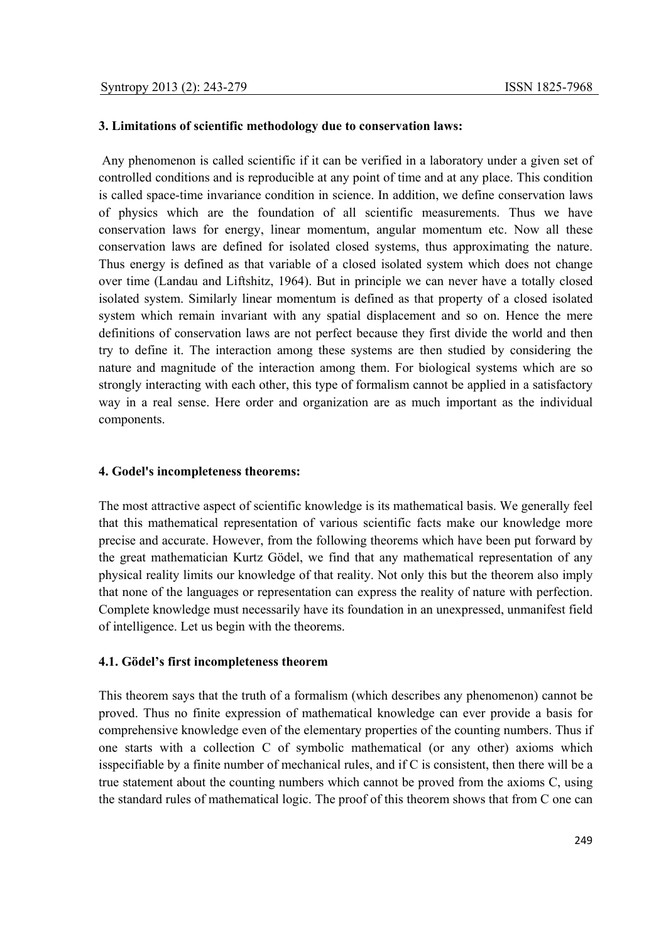# **3. Limitations of scientific methodology due to conservation laws:**

 Any phenomenon is called scientific if it can be verified in a laboratory under a given set of controlled conditions and is reproducible at any point of time and at any place. This condition is called space-time invariance condition in science. In addition, we define conservation laws of physics which are the foundation of all scientific measurements. Thus we have conservation laws for energy, linear momentum, angular momentum etc. Now all these conservation laws are defined for isolated closed systems, thus approximating the nature. Thus energy is defined as that variable of a closed isolated system which does not change over time (Landau and Liftshitz, 1964). But in principle we can never have a totally closed isolated system. Similarly linear momentum is defined as that property of a closed isolated system which remain invariant with any spatial displacement and so on. Hence the mere definitions of conservation laws are not perfect because they first divide the world and then try to define it. The interaction among these systems are then studied by considering the nature and magnitude of the interaction among them. For biological systems which are so strongly interacting with each other, this type of formalism cannot be applied in a satisfactory way in a real sense. Here order and organization are as much important as the individual components.

#### **4. Godel's incompleteness theorems:**

The most attractive aspect of scientific knowledge is its mathematical basis. We generally feel that this mathematical representation of various scientific facts make our knowledge more precise and accurate. However, from the following theorems which have been put forward by the great mathematician Kurtz Gödel, we find that any mathematical representation of any physical reality limits our knowledge of that reality. Not only this but the theorem also imply that none of the languages or representation can express the reality of nature with perfection. Complete knowledge must necessarily have its foundation in an unexpressed, unmanifest field of intelligence. Let us begin with the theorems.

#### **4.1. Gödel's first incompleteness theorem**

This theorem says that the truth of a formalism (which describes any phenomenon) cannot be proved. Thus no finite expression of mathematical knowledge can ever provide a basis for comprehensive knowledge even of the elementary properties of the counting numbers. Thus if one starts with a collection C of symbolic mathematical (or any other) axioms which isspecifiable by a finite number of mechanical rules, and if C is consistent, then there will be a true statement about the counting numbers which cannot be proved from the axioms C, using the standard rules of mathematical logic. The proof of this theorem shows that from C one can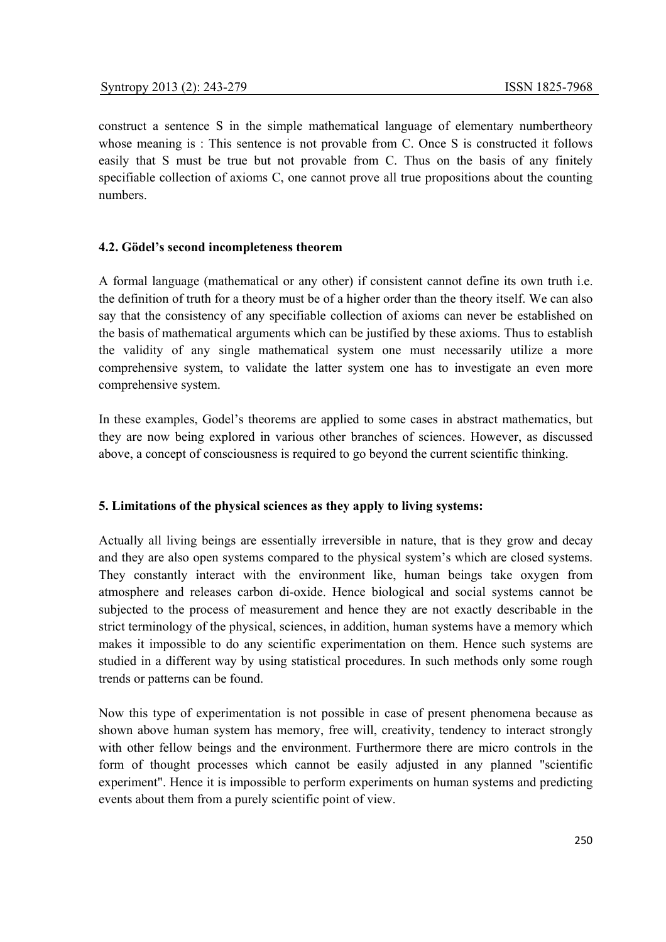construct a sentence S in the simple mathematical language of elementary numbertheory whose meaning is: This sentence is not provable from C. Once S is constructed it follows easily that S must be true but not provable from C. Thus on the basis of any finitely specifiable collection of axioms C, one cannot prove all true propositions about the counting numbers.

### **4.2. Gödel's second incompleteness theorem**

A formal language (mathematical or any other) if consistent cannot define its own truth i.e. the definition of truth for a theory must be of a higher order than the theory itself. We can also say that the consistency of any specifiable collection of axioms can never be established on the basis of mathematical arguments which can be justified by these axioms. Thus to establish the validity of any single mathematical system one must necessarily utilize a more comprehensive system, to validate the latter system one has to investigate an even more comprehensive system.

In these examples, Godel's theorems are applied to some cases in abstract mathematics, but they are now being explored in various other branches of sciences. However, as discussed above, a concept of consciousness is required to go beyond the current scientific thinking.

# **5. Limitations of the physical sciences as they apply to living systems:**

Actually all living beings are essentially irreversible in nature, that is they grow and decay and they are also open systems compared to the physical system's which are closed systems. They constantly interact with the environment like, human beings take oxygen from atmosphere and releases carbon di-oxide. Hence biological and social systems cannot be subjected to the process of measurement and hence they are not exactly describable in the strict terminology of the physical, sciences, in addition, human systems have a memory which makes it impossible to do any scientific experimentation on them. Hence such systems are studied in a different way by using statistical procedures. In such methods only some rough trends or patterns can be found.

Now this type of experimentation is not possible in case of present phenomena because as shown above human system has memory, free will, creativity, tendency to interact strongly with other fellow beings and the environment. Furthermore there are micro controls in the form of thought processes which cannot be easily adjusted in any planned "scientific experiment". Hence it is impossible to perform experiments on human systems and predicting events about them from a purely scientific point of view.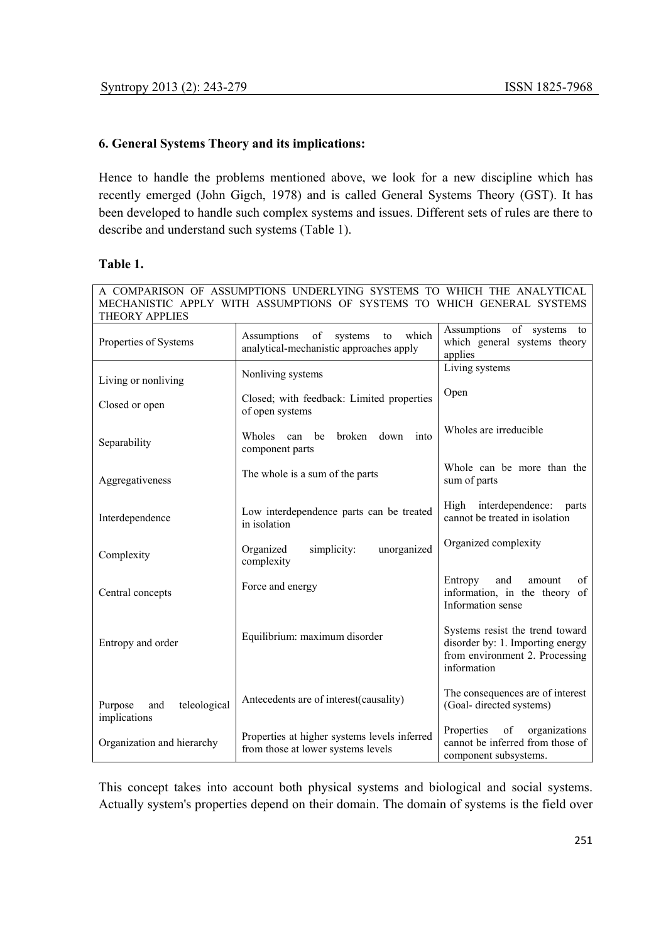# **6. General Systems Theory and its implications:**

Hence to handle the problems mentioned above, we look for a new discipline which has recently emerged (John Gigch, 1978) and is called General Systems Theory (GST). It has been developed to handle such complex systems and issues. Different sets of rules are there to describe and understand such systems (Table 1).

# **Table 1.**

| A COMPARISON OF ASSUMPTIONS UNDERLYING SYSTEMS TO WHICH THE ANALYTICAL<br>MECHANISTIC APPLY WITH ASSUMPTIONS OF SYSTEMS TO WHICH GENERAL SYSTEMS<br><b>THEORY APPLIES</b> |                                                                                        |                                                                                                                      |  |
|---------------------------------------------------------------------------------------------------------------------------------------------------------------------------|----------------------------------------------------------------------------------------|----------------------------------------------------------------------------------------------------------------------|--|
| Properties of Systems                                                                                                                                                     | of<br>which<br>Assumptions<br>systems<br>to<br>analytical-mechanistic approaches apply | Assumptions<br>of systems<br>to<br>which general systems theory<br>applies                                           |  |
| Living or nonliving                                                                                                                                                       | Nonliving systems                                                                      | Living systems                                                                                                       |  |
| Closed or open                                                                                                                                                            | Closed; with feedback: Limited properties<br>of open systems                           | Open                                                                                                                 |  |
| Separability                                                                                                                                                              | Wholes<br>be<br>broken<br>down<br>into<br>can<br>component parts                       | Wholes are irreducible                                                                                               |  |
| Aggregativeness                                                                                                                                                           | The whole is a sum of the parts                                                        | Whole can be more than the<br>sum of parts                                                                           |  |
| Interdependence                                                                                                                                                           | Low interdependence parts can be treated<br>in isolation                               | High interdependence:<br>parts<br>cannot be treated in isolation                                                     |  |
| Complexity                                                                                                                                                                | unorganized<br>Organized<br>simplicity:<br>complexity                                  | Organized complexity                                                                                                 |  |
| Central concepts                                                                                                                                                          | Force and energy                                                                       | Entropy<br>and<br>amount<br>of<br>information, in the theory of<br>Information sense                                 |  |
| Entropy and order                                                                                                                                                         | Equilibrium: maximum disorder                                                          | Systems resist the trend toward<br>disorder by: 1. Importing energy<br>from environment 2. Processing<br>information |  |
| Purpose<br>and<br>teleological<br>implications                                                                                                                            | Antecedents are of interest(causality)                                                 | The consequences are of interest<br>(Goal-directed systems)                                                          |  |
| Properties at higher systems levels inferred<br>Organization and hierarchy<br>from those at lower systems levels                                                          |                                                                                        | Properties<br>of<br>organizations<br>cannot be inferred from those of<br>component subsystems.                       |  |

This concept takes into account both physical systems and biological and social systems. Actually system's properties depend on their domain. The domain of systems is the field over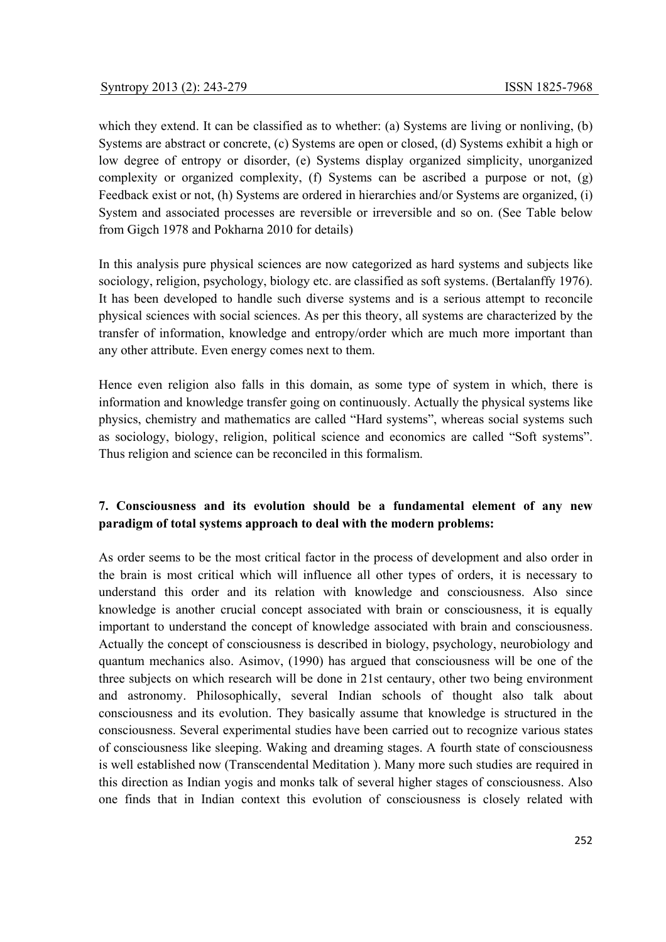which they extend. It can be classified as to whether: (a) Systems are living or nonliving, (b) Systems are abstract or concrete, (c) Systems are open or closed, (d) Systems exhibit a high or low degree of entropy or disorder, (e) Systems display organized simplicity, unorganized complexity or organized complexity, (f) Systems can be ascribed a purpose or not, (g) Feedback exist or not, (h) Systems are ordered in hierarchies and/or Systems are organized, (i) System and associated processes are reversible or irreversible and so on. (See Table below from Gigch 1978 and Pokharna 2010 for details)

In this analysis pure physical sciences are now categorized as hard systems and subjects like sociology, religion, psychology, biology etc. are classified as soft systems. (Bertalanffy 1976). It has been developed to handle such diverse systems and is a serious attempt to reconcile physical sciences with social sciences. As per this theory, all systems are characterized by the transfer of information, knowledge and entropy/order which are much more important than any other attribute. Even energy comes next to them.

Hence even religion also falls in this domain, as some type of system in which, there is information and knowledge transfer going on continuously. Actually the physical systems like physics, chemistry and mathematics are called "Hard systems", whereas social systems such as sociology, biology, religion, political science and economics are called "Soft systems". Thus religion and science can be reconciled in this formalism.

# **7. Consciousness and its evolution should be a fundamental element of any new paradigm of total systems approach to deal with the modern problems:**

As order seems to be the most critical factor in the process of development and also order in the brain is most critical which will influence all other types of orders, it is necessary to understand this order and its relation with knowledge and consciousness. Also since knowledge is another crucial concept associated with brain or consciousness, it is equally important to understand the concept of knowledge associated with brain and consciousness. Actually the concept of consciousness is described in biology, psychology, neurobiology and quantum mechanics also. Asimov, (1990) has argued that consciousness will be one of the three subjects on which research will be done in 21st centaury, other two being environment and astronomy. Philosophically, several Indian schools of thought also talk about consciousness and its evolution. They basically assume that knowledge is structured in the consciousness. Several experimental studies have been carried out to recognize various states of consciousness like sleeping. Waking and dreaming stages. A fourth state of consciousness is well established now (Transcendental Meditation ). Many more such studies are required in this direction as Indian yogis and monks talk of several higher stages of consciousness. Also one finds that in Indian context this evolution of consciousness is closely related with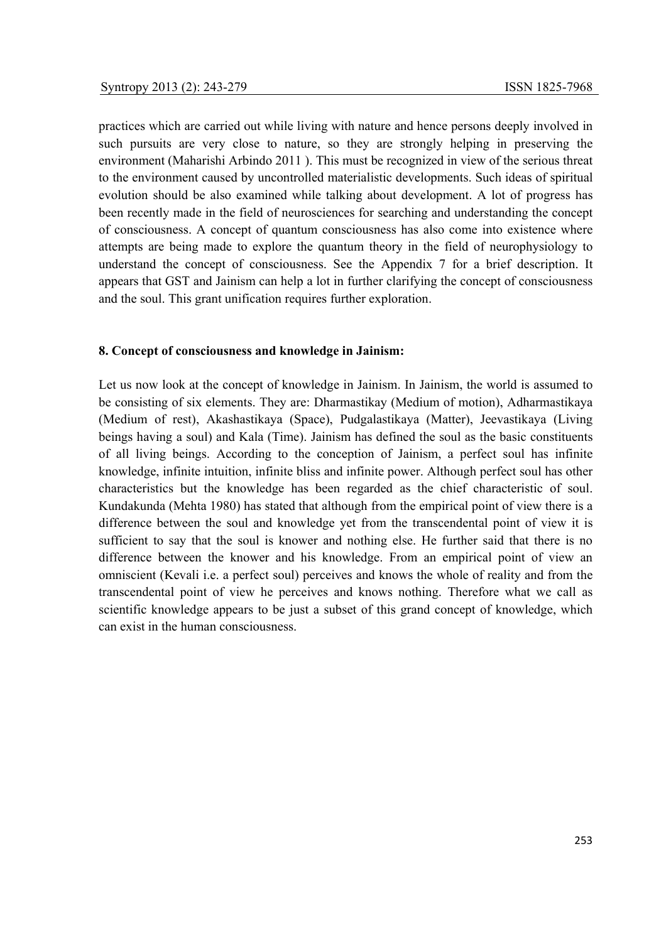practices which are carried out while living with nature and hence persons deeply involved in such pursuits are very close to nature, so they are strongly helping in preserving the environment (Maharishi Arbindo 2011 ). This must be recognized in view of the serious threat to the environment caused by uncontrolled materialistic developments. Such ideas of spiritual evolution should be also examined while talking about development. A lot of progress has been recently made in the field of neurosciences for searching and understanding the concept of consciousness. A concept of quantum consciousness has also come into existence where attempts are being made to explore the quantum theory in the field of neurophysiology to understand the concept of consciousness. See the Appendix 7 for a brief description. It appears that GST and Jainism can help a lot in further clarifying the concept of consciousness and the soul. This grant unification requires further exploration.

#### **8. Concept of consciousness and knowledge in Jainism:**

Let us now look at the concept of knowledge in Jainism. In Jainism, the world is assumed to be consisting of six elements. They are: Dharmastikay (Medium of motion), Adharmastikaya (Medium of rest), Akashastikaya (Space), Pudgalastikaya (Matter), Jeevastikaya (Living beings having a soul) and Kala (Time). Jainism has defined the soul as the basic constituents of all living beings. According to the conception of Jainism, a perfect soul has infinite knowledge, infinite intuition, infinite bliss and infinite power. Although perfect soul has other characteristics but the knowledge has been regarded as the chief characteristic of soul. Kundakunda (Mehta 1980) has stated that although from the empirical point of view there is a difference between the soul and knowledge yet from the transcendental point of view it is sufficient to say that the soul is knower and nothing else. He further said that there is no difference between the knower and his knowledge. From an empirical point of view an omniscient (Kevali i.e. a perfect soul) perceives and knows the whole of reality and from the transcendental point of view he perceives and knows nothing. Therefore what we call as scientific knowledge appears to be just a subset of this grand concept of knowledge, which can exist in the human consciousness.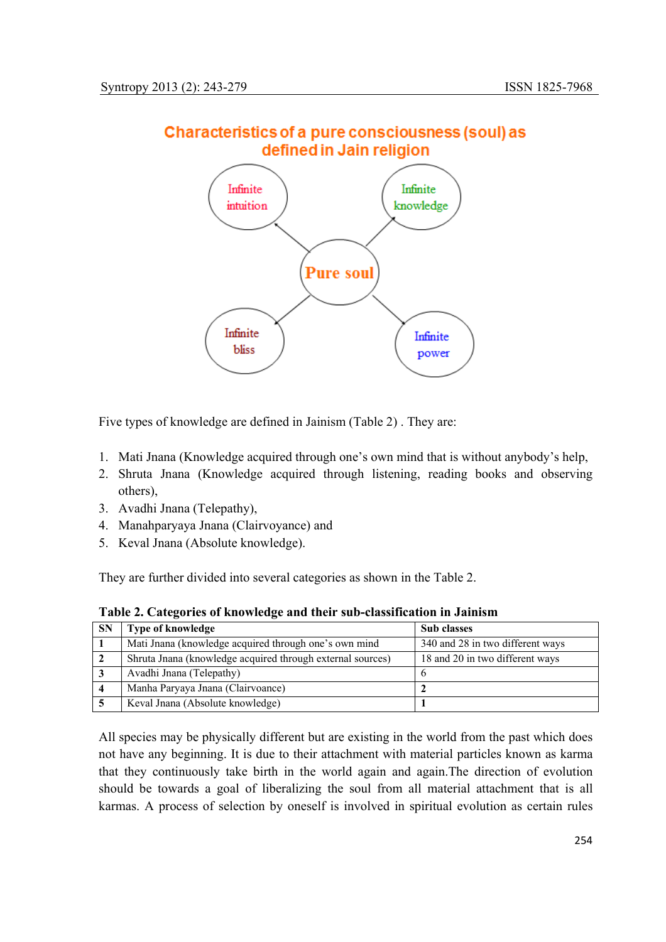

# Characteristics of a pure consciousness (soul) as defined in Jain religion

Five types of knowledge are defined in Jainism (Table 2) . They are:

- 1. Mati Jnana (Knowledge acquired through one's own mind that is without anybody's help,
- 2. Shruta Jnana (Knowledge acquired through listening, reading books and observing others),
- 3. Avadhi Jnana (Telepathy),
- 4. Manahparyaya Jnana (Clairvoyance) and
- 5. Keval Jnana (Absolute knowledge).

They are further divided into several categories as shown in the Table 2.

**Table 2. Categories of knowledge and their sub-classification in Jainism** 

| <b>SN</b> | Type of knowledge                                          | <b>Sub</b> classes               |
|-----------|------------------------------------------------------------|----------------------------------|
|           | Mati Jnana (knowledge acquired through one's own mind      | 340 and 28 in two different ways |
|           | Shruta Jnana (knowledge acquired through external sources) | 18 and 20 in two different ways  |
|           | Avadhi Jnana (Telepathy)                                   |                                  |
|           | Manha Paryaya Jnana (Clairvoance)                          |                                  |
|           | Keval Jnana (Absolute knowledge)                           |                                  |

All species may be physically different but are existing in the world from the past which does not have any beginning. It is due to their attachment with material particles known as karma that they continuously take birth in the world again and again.The direction of evolution should be towards a goal of liberalizing the soul from all material attachment that is all karmas. A process of selection by oneself is involved in spiritual evolution as certain rules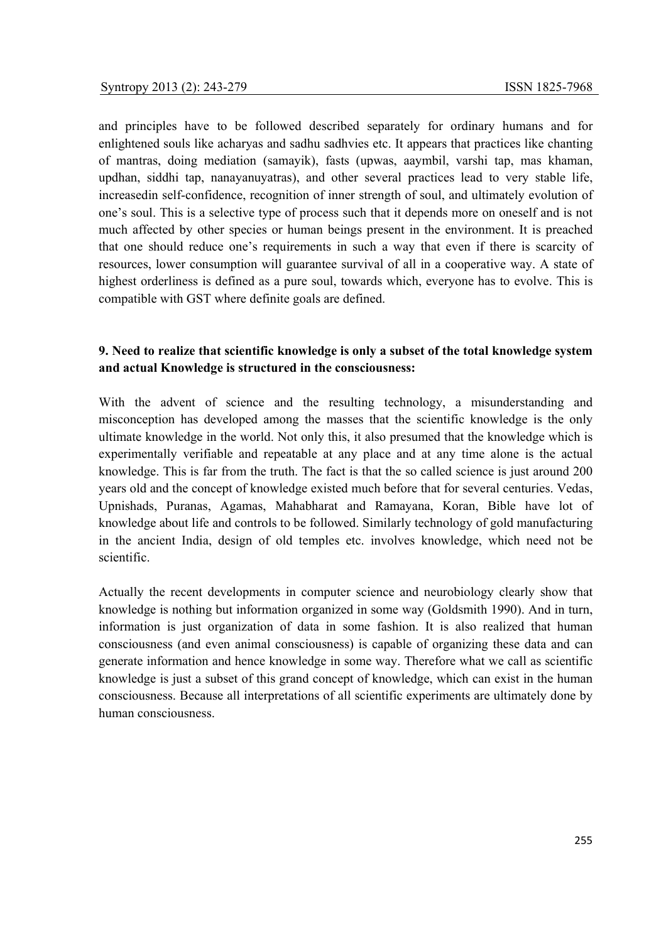and principles have to be followed described separately for ordinary humans and for enlightened souls like acharyas and sadhu sadhvies etc. It appears that practices like chanting of mantras, doing mediation (samayik), fasts (upwas, aaymbil, varshi tap, mas khaman, updhan, siddhi tap, nanayanuyatras), and other several practices lead to very stable life, increasedin self-confidence, recognition of inner strength of soul, and ultimately evolution of one's soul. This is a selective type of process such that it depends more on oneself and is not much affected by other species or human beings present in the environment. It is preached that one should reduce one's requirements in such a way that even if there is scarcity of resources, lower consumption will guarantee survival of all in a cooperative way. A state of highest orderliness is defined as a pure soul, towards which, everyone has to evolve. This is compatible with GST where definite goals are defined.

# **9. Need to realize that scientific knowledge is only a subset of the total knowledge system and actual Knowledge is structured in the consciousness:**

With the advent of science and the resulting technology, a misunderstanding and misconception has developed among the masses that the scientific knowledge is the only ultimate knowledge in the world. Not only this, it also presumed that the knowledge which is experimentally verifiable and repeatable at any place and at any time alone is the actual knowledge. This is far from the truth. The fact is that the so called science is just around 200 years old and the concept of knowledge existed much before that for several centuries. Vedas, Upnishads, Puranas, Agamas, Mahabharat and Ramayana, Koran, Bible have lot of knowledge about life and controls to be followed. Similarly technology of gold manufacturing in the ancient India, design of old temples etc. involves knowledge, which need not be scientific.

Actually the recent developments in computer science and neurobiology clearly show that knowledge is nothing but information organized in some way (Goldsmith 1990). And in turn, information is just organization of data in some fashion. It is also realized that human consciousness (and even animal consciousness) is capable of organizing these data and can generate information and hence knowledge in some way. Therefore what we call as scientific knowledge is just a subset of this grand concept of knowledge, which can exist in the human consciousness. Because all interpretations of all scientific experiments are ultimately done by human consciousness.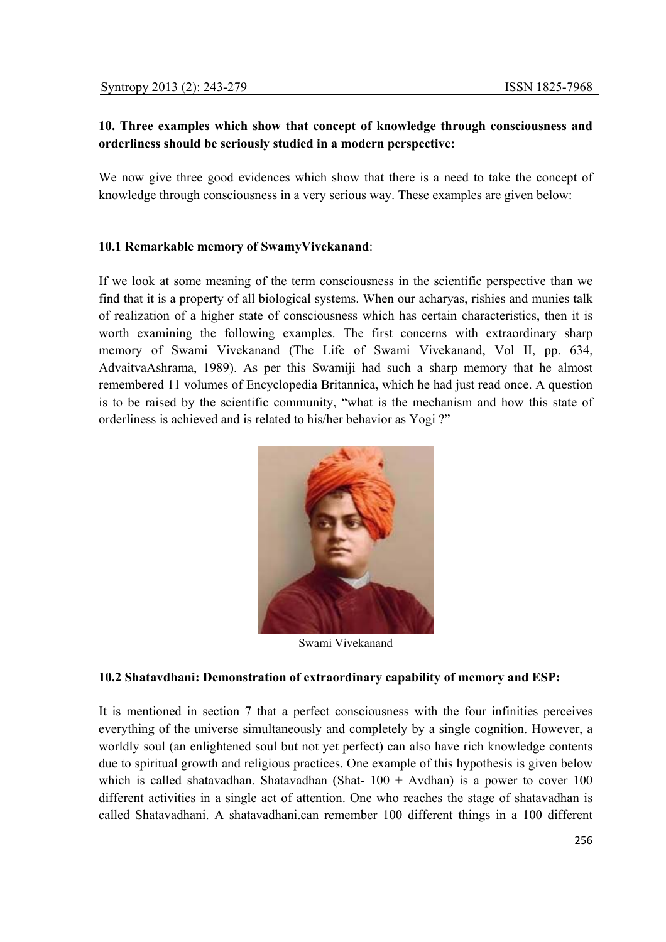# **10. Three examples which show that concept of knowledge through consciousness and orderliness should be seriously studied in a modern perspective:**

We now give three good evidences which show that there is a need to take the concept of knowledge through consciousness in a very serious way. These examples are given below:

# **10.1 Remarkable memory of SwamyVivekanand**:

If we look at some meaning of the term consciousness in the scientific perspective than we find that it is a property of all biological systems. When our acharyas, rishies and munies talk of realization of a higher state of consciousness which has certain characteristics, then it is worth examining the following examples. The first concerns with extraordinary sharp memory of Swami Vivekanand (The Life of Swami Vivekanand, Vol II, pp. 634, AdvaitvaAshrama, 1989). As per this Swamiji had such a sharp memory that he almost remembered 11 volumes of Encyclopedia Britannica, which he had just read once. A question is to be raised by the scientific community, "what is the mechanism and how this state of orderliness is achieved and is related to his/her behavior as Yogi ?"



Swami Vivekanand

# **10.2 Shatavdhani: Demonstration of extraordinary capability of memory and ESP:**

It is mentioned in section 7 that a perfect consciousness with the four infinities perceives everything of the universe simultaneously and completely by a single cognition. However, a worldly soul (an enlightened soul but not yet perfect) can also have rich knowledge contents due to spiritual growth and religious practices. One example of this hypothesis is given below which is called shatavadhan. Shatavadhan (Shat-  $100 +$  Avdhan) is a power to cover 100 different activities in a single act of attention. One who reaches the stage of shatavadhan is called Shatavadhani. A shatavadhani.can remember 100 different things in a 100 different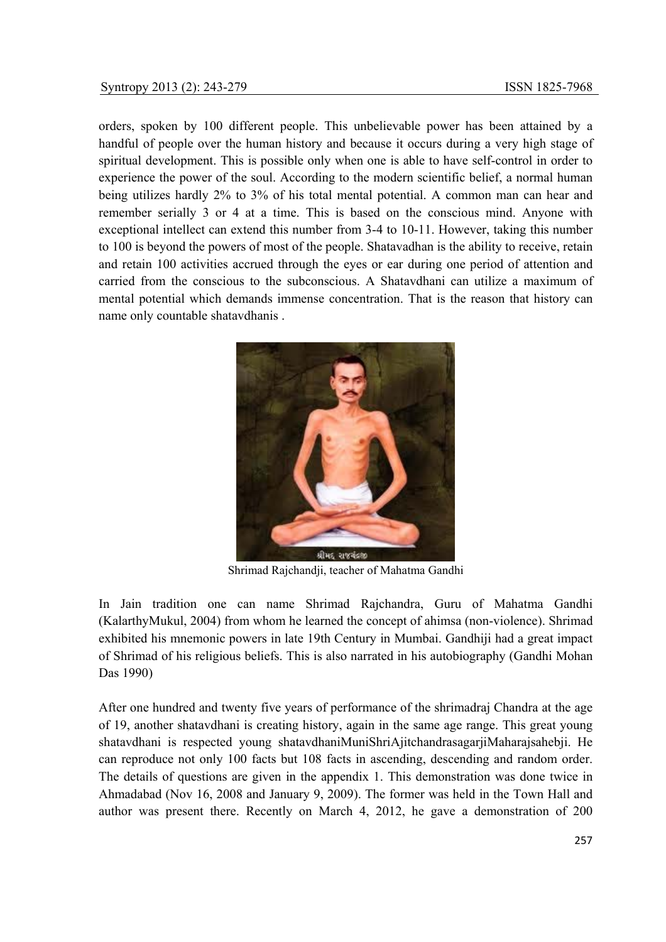orders, spoken by 100 different people. This unbelievable power has been attained by a handful of people over the human history and because it occurs during a very high stage of spiritual development. This is possible only when one is able to have self-control in order to experience the power of the soul. According to the modern scientific belief, a normal human being utilizes hardly 2% to 3% of his total mental potential. A common man can hear and remember serially 3 or 4 at a time. This is based on the conscious mind. Anyone with exceptional intellect can extend this number from 3-4 to 10-11. However, taking this number to 100 is beyond the powers of most of the people. Shatavadhan is the ability to receive, retain and retain 100 activities accrued through the eyes or ear during one period of attention and carried from the conscious to the subconscious. A Shatavdhani can utilize a maximum of mental potential which demands immense concentration. That is the reason that history can name only countable shatavdhanis .



Shrimad Rajchandji, teacher of Mahatma Gandhi

In Jain tradition one can name Shrimad Rajchandra, Guru of Mahatma Gandhi (KalarthyMukul, 2004) from whom he learned the concept of ahimsa (non-violence). Shrimad exhibited his mnemonic powers in late 19th Century in Mumbai. Gandhiji had a great impact of Shrimad of his religious beliefs. This is also narrated in his autobiography (Gandhi Mohan Das 1990)

After one hundred and twenty five years of performance of the shrimadraj Chandra at the age of 19, another shatavdhani is creating history, again in the same age range. This great young shatavdhani is respected young shatavdhaniMuniShriAjitchandrasagarjiMaharajsahebji. He can reproduce not only 100 facts but 108 facts in ascending, descending and random order. The details of questions are given in the appendix 1. This demonstration was done twice in Ahmadabad (Nov 16, 2008 and January 9, 2009). The former was held in the Town Hall and author was present there. Recently on March 4, 2012, he gave a demonstration of 200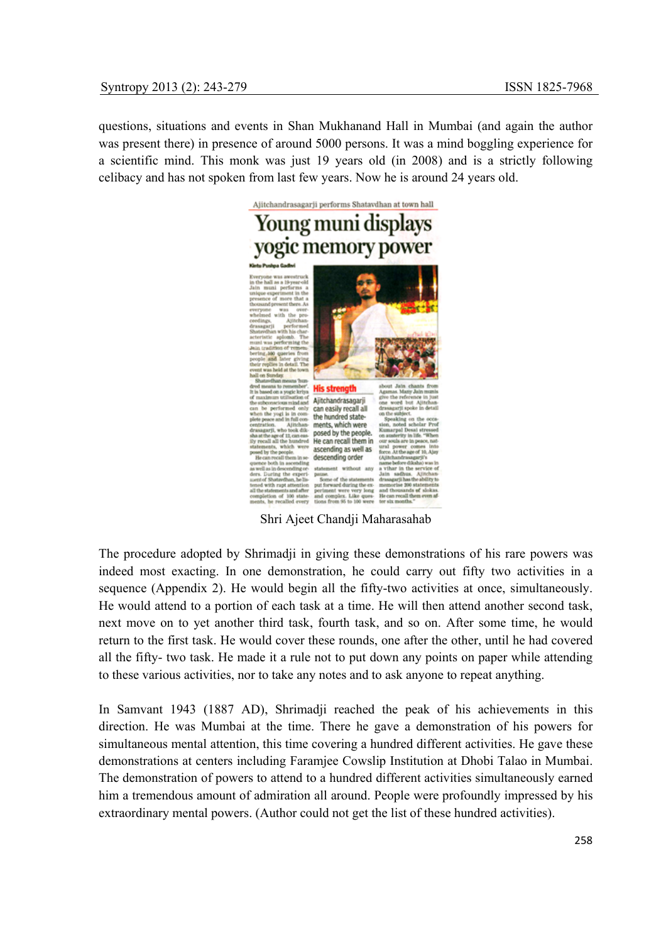questions, situations and events in Shan Mukhanand Hall in Mumbai (and again the author was present there) in presence of around 5000 persons. It was a mind boggling experience for a scientific mind. This monk was just 19 years old (in 2008) and is a strictly following celibacy and has not spoken from last few years. Now he is around 24 years old.



Shri Ajeet Chandji Maharasahab

The procedure adopted by Shrimadji in giving these demonstrations of his rare powers was indeed most exacting. In one demonstration, he could carry out fifty two activities in a sequence (Appendix 2). He would begin all the fifty-two activities at once, simultaneously. He would attend to a portion of each task at a time. He will then attend another second task, next move on to yet another third task, fourth task, and so on. After some time, he would return to the first task. He would cover these rounds, one after the other, until he had covered all the fifty- two task. He made it a rule not to put down any points on paper while attending to these various activities, nor to take any notes and to ask anyone to repeat anything.

In Samvant 1943 (1887 AD), Shrimadji reached the peak of his achievements in this direction. He was Mumbai at the time. There he gave a demonstration of his powers for simultaneous mental attention, this time covering a hundred different activities. He gave these demonstrations at centers including Faramjee Cowslip Institution at Dhobi Talao in Mumbai. The demonstration of powers to attend to a hundred different activities simultaneously earned him a tremendous amount of admiration all around. People were profoundly impressed by his extraordinary mental powers. (Author could not get the list of these hundred activities).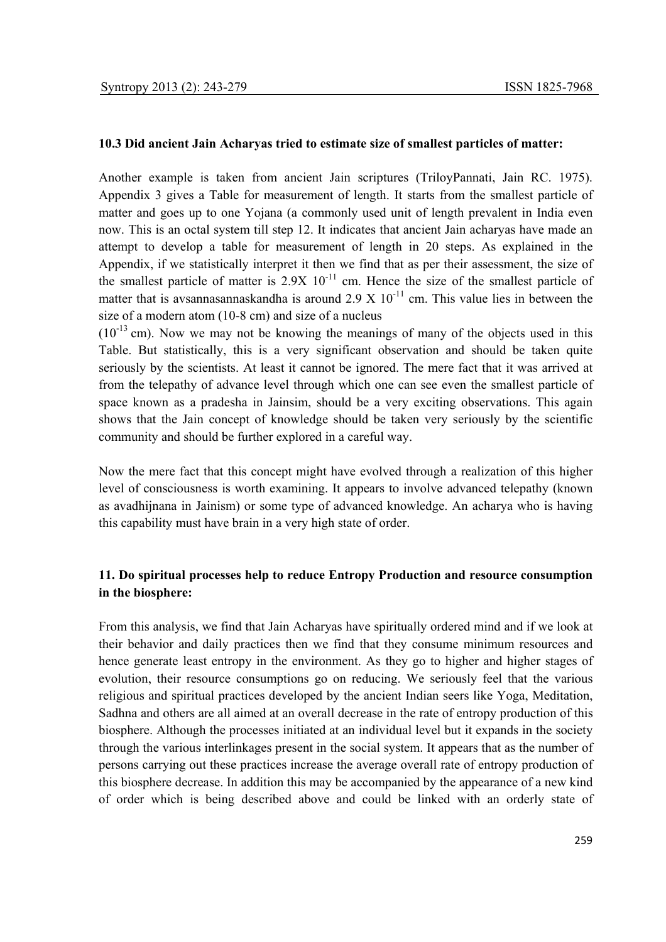#### **10.3 Did ancient Jain Acharyas tried to estimate size of smallest particles of matter:**

Another example is taken from ancient Jain scriptures (TriloyPannati, Jain RC. 1975). Appendix 3 gives a Table for measurement of length. It starts from the smallest particle of matter and goes up to one Yojana (a commonly used unit of length prevalent in India even now. This is an octal system till step 12. It indicates that ancient Jain acharyas have made an attempt to develop a table for measurement of length in 20 steps. As explained in the Appendix, if we statistically interpret it then we find that as per their assessment, the size of the smallest particle of matter is  $2.9X$   $10^{-11}$  cm. Hence the size of the smallest particle of matter that is avsannasannaskandha is around  $2.9 \times 10^{-11}$  cm. This value lies in between the size of a modern atom (10-8 cm) and size of a nucleus

 $(10^{-13}$  cm). Now we may not be knowing the meanings of many of the objects used in this Table. But statistically, this is a very significant observation and should be taken quite seriously by the scientists. At least it cannot be ignored. The mere fact that it was arrived at from the telepathy of advance level through which one can see even the smallest particle of space known as a pradesha in Jainsim, should be a very exciting observations. This again shows that the Jain concept of knowledge should be taken very seriously by the scientific community and should be further explored in a careful way.

Now the mere fact that this concept might have evolved through a realization of this higher level of consciousness is worth examining. It appears to involve advanced telepathy (known as avadhijnana in Jainism) or some type of advanced knowledge. An acharya who is having this capability must have brain in a very high state of order.

# **11. Do spiritual processes help to reduce Entropy Production and resource consumption in the biosphere:**

From this analysis, we find that Jain Acharyas have spiritually ordered mind and if we look at their behavior and daily practices then we find that they consume minimum resources and hence generate least entropy in the environment. As they go to higher and higher stages of evolution, their resource consumptions go on reducing. We seriously feel that the various religious and spiritual practices developed by the ancient Indian seers like Yoga, Meditation, Sadhna and others are all aimed at an overall decrease in the rate of entropy production of this biosphere. Although the processes initiated at an individual level but it expands in the society through the various interlinkages present in the social system. It appears that as the number of persons carrying out these practices increase the average overall rate of entropy production of this biosphere decrease. In addition this may be accompanied by the appearance of a new kind of order which is being described above and could be linked with an orderly state of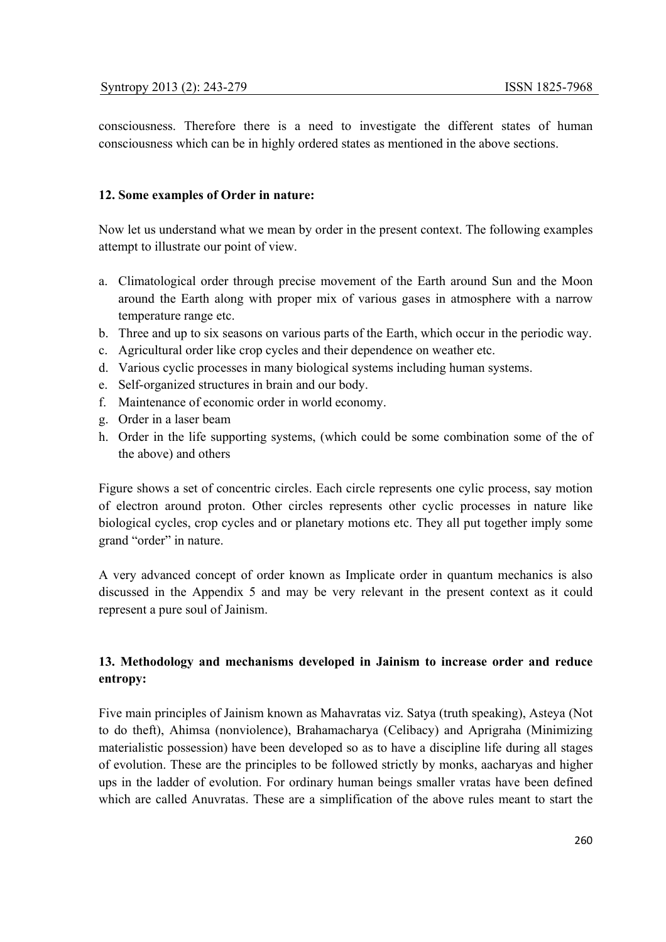consciousness. Therefore there is a need to investigate the different states of human consciousness which can be in highly ordered states as mentioned in the above sections.

# **12. Some examples of Order in nature:**

Now let us understand what we mean by order in the present context. The following examples attempt to illustrate our point of view.

- a. Climatological order through precise movement of the Earth around Sun and the Moon around the Earth along with proper mix of various gases in atmosphere with a narrow temperature range etc.
- b. Three and up to six seasons on various parts of the Earth, which occur in the periodic way.
- c. Agricultural order like crop cycles and their dependence on weather etc.
- d. Various cyclic processes in many biological systems including human systems.
- e. Self-organized structures in brain and our body.
- f. Maintenance of economic order in world economy.
- g. Order in a laser beam
- h. Order in the life supporting systems, (which could be some combination some of the of the above) and others

Figure shows a set of concentric circles. Each circle represents one cylic process, say motion of electron around proton. Other circles represents other cyclic processes in nature like biological cycles, crop cycles and or planetary motions etc. They all put together imply some grand "order" in nature.

A very advanced concept of order known as Implicate order in quantum mechanics is also discussed in the Appendix 5 and may be very relevant in the present context as it could represent a pure soul of Jainism.

# **13. Methodology and mechanisms developed in Jainism to increase order and reduce entropy:**

Five main principles of Jainism known as Mahavratas viz. Satya (truth speaking), Asteya (Not to do theft), Ahimsa (nonviolence), Brahamacharya (Celibacy) and Aprigraha (Minimizing materialistic possession) have been developed so as to have a discipline life during all stages of evolution. These are the principles to be followed strictly by monks, aacharyas and higher ups in the ladder of evolution. For ordinary human beings smaller vratas have been defined which are called Anuvratas. These are a simplification of the above rules meant to start the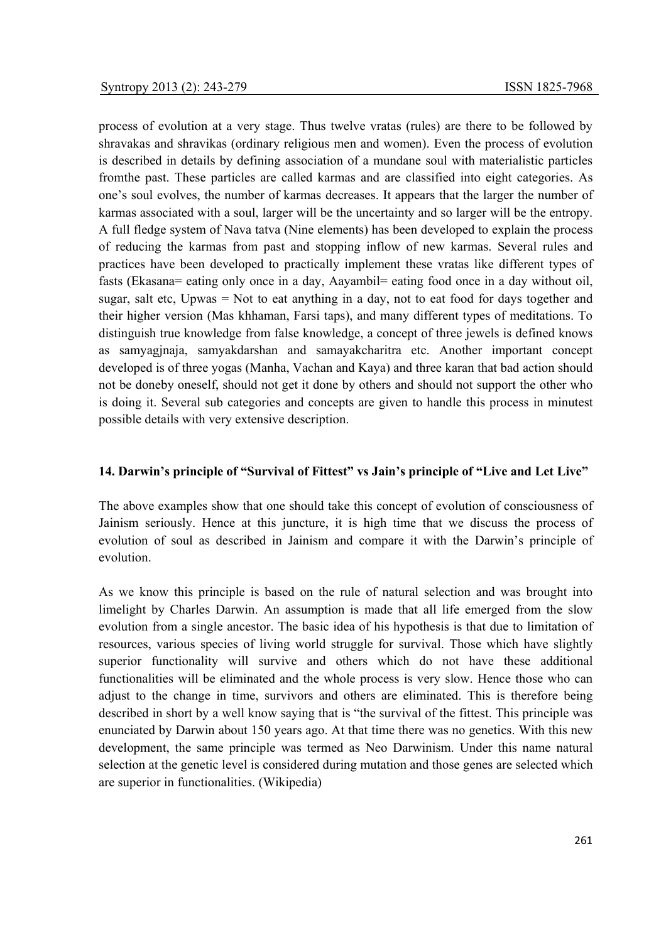process of evolution at a very stage. Thus twelve vratas (rules) are there to be followed by shravakas and shravikas (ordinary religious men and women). Even the process of evolution is described in details by defining association of a mundane soul with materialistic particles fromthe past. These particles are called karmas and are classified into eight categories. As one's soul evolves, the number of karmas decreases. It appears that the larger the number of karmas associated with a soul, larger will be the uncertainty and so larger will be the entropy. A full fledge system of Nava tatva (Nine elements) has been developed to explain the process of reducing the karmas from past and stopping inflow of new karmas. Several rules and practices have been developed to practically implement these vratas like different types of fasts (Ekasana= eating only once in a day, Aayambil= eating food once in a day without oil, sugar, salt etc, Upwas = Not to eat anything in a day, not to eat food for days together and their higher version (Mas khhaman, Farsi taps), and many different types of meditations. To distinguish true knowledge from false knowledge, a concept of three jewels is defined knows as samyagjnaja, samyakdarshan and samayakcharitra etc. Another important concept developed is of three yogas (Manha, Vachan and Kaya) and three karan that bad action should not be doneby oneself, should not get it done by others and should not support the other who is doing it. Several sub categories and concepts are given to handle this process in minutest possible details with very extensive description.

# **14. Darwin's principle of "Survival of Fittest" vs Jain's principle of "Live and Let Live"**

The above examples show that one should take this concept of evolution of consciousness of Jainism seriously. Hence at this juncture, it is high time that we discuss the process of evolution of soul as described in Jainism and compare it with the Darwin's principle of evolution.

As we know this principle is based on the rule of natural selection and was brought into limelight by Charles Darwin. An assumption is made that all life emerged from the slow evolution from a single ancestor. The basic idea of his hypothesis is that due to limitation of resources, various species of living world struggle for survival. Those which have slightly superior functionality will survive and others which do not have these additional functionalities will be eliminated and the whole process is very slow. Hence those who can adjust to the change in time, survivors and others are eliminated. This is therefore being described in short by a well know saying that is "the survival of the fittest. This principle was enunciated by Darwin about 150 years ago. At that time there was no genetics. With this new development, the same principle was termed as Neo Darwinism. Under this name natural selection at the genetic level is considered during mutation and those genes are selected which are superior in functionalities. (Wikipedia)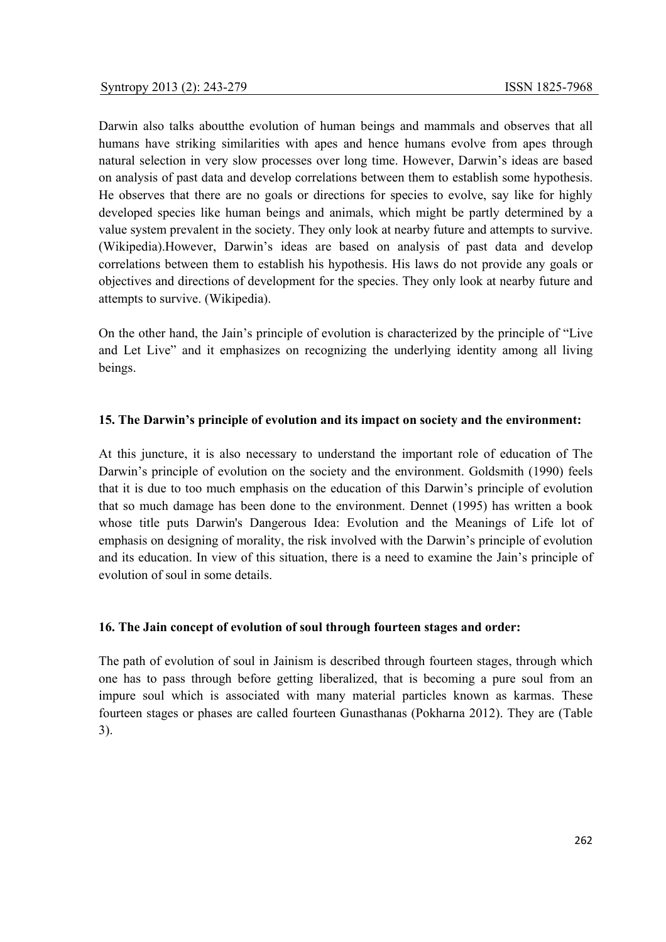Darwin also talks aboutthe evolution of human beings and mammals and observes that all humans have striking similarities with apes and hence humans evolve from apes through natural selection in very slow processes over long time. However, Darwin's ideas are based on analysis of past data and develop correlations between them to establish some hypothesis. He observes that there are no goals or directions for species to evolve, say like for highly developed species like human beings and animals, which might be partly determined by a value system prevalent in the society. They only look at nearby future and attempts to survive. (Wikipedia).However, Darwin's ideas are based on analysis of past data and develop correlations between them to establish his hypothesis. His laws do not provide any goals or objectives and directions of development for the species. They only look at nearby future and attempts to survive. (Wikipedia).

On the other hand, the Jain's principle of evolution is characterized by the principle of "Live and Let Live" and it emphasizes on recognizing the underlying identity among all living beings.

# **15. The Darwin's principle of evolution and its impact on society and the environment:**

At this juncture, it is also necessary to understand the important role of education of The Darwin's principle of evolution on the society and the environment. Goldsmith (1990) feels that it is due to too much emphasis on the education of this Darwin's principle of evolution that so much damage has been done to the environment. Dennet (1995) has written a book whose title puts Darwin's Dangerous Idea: Evolution and the Meanings of Life lot of emphasis on designing of morality, the risk involved with the Darwin's principle of evolution and its education. In view of this situation, there is a need to examine the Jain's principle of evolution of soul in some details.

# **16. The Jain concept of evolution of soul through fourteen stages and order:**

The path of evolution of soul in Jainism is described through fourteen stages, through which one has to pass through before getting liberalized, that is becoming a pure soul from an impure soul which is associated with many material particles known as karmas. These fourteen stages or phases are called fourteen Gunasthanas (Pokharna 2012). They are (Table 3).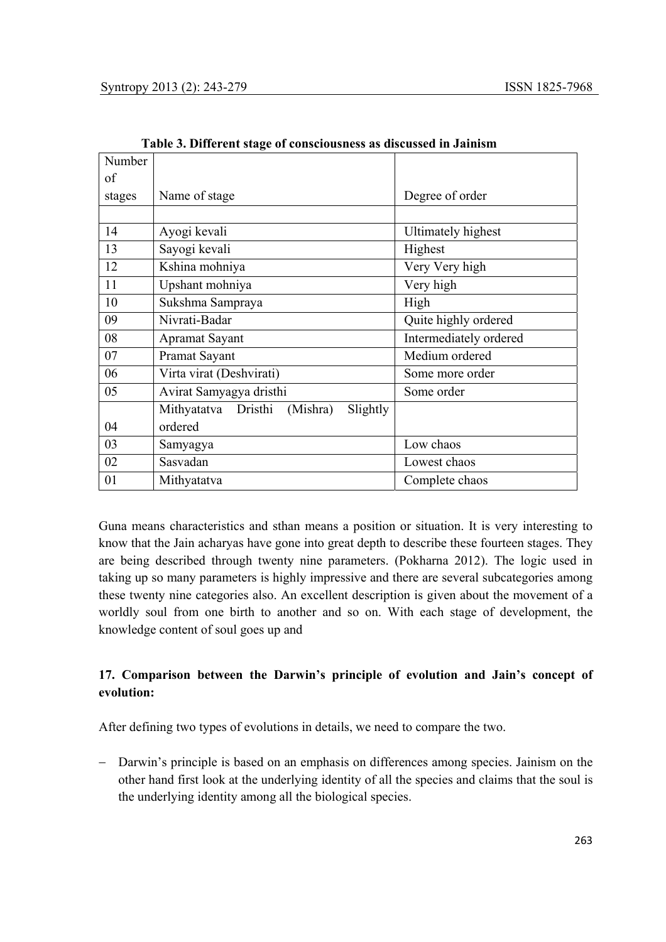| Number |                                             |                           |
|--------|---------------------------------------------|---------------------------|
| of     |                                             |                           |
| stages | Name of stage                               | Degree of order           |
|        |                                             |                           |
| 14     | Ayogi kevali                                | <b>Ultimately highest</b> |
| 13     | Sayogi kevali                               | Highest                   |
| 12     | Kshina mohniya                              | Very Very high            |
| 11     | Upshant mohniya                             | Very high                 |
| 10     | Sukshma Sampraya                            | High                      |
| 09     | Nivrati-Badar                               | Quite highly ordered      |
| 08     | <b>Apramat Sayant</b>                       | Intermediately ordered    |
| 07     | Pramat Sayant                               | Medium ordered            |
| 06     | Virta virat (Deshvirati)                    | Some more order           |
| 05     | Avirat Samyagya dristhi                     | Some order                |
|        | Mithyatatva Dristhi<br>(Mishra)<br>Slightly |                           |
| 04     | ordered                                     |                           |
| 03     | Samyagya                                    | Low chaos                 |
| 02     | Sasvadan                                    | Lowest chaos              |
| 01     | Mithyatatva                                 | Complete chaos            |

 **Table 3. Different stage of consciousness as discussed in Jainism** 

Guna means characteristics and sthan means a position or situation. It is very interesting to know that the Jain acharyas have gone into great depth to describe these fourteen stages. They are being described through twenty nine parameters. (Pokharna 2012). The logic used in taking up so many parameters is highly impressive and there are several subcategories among these twenty nine categories also. An excellent description is given about the movement of a worldly soul from one birth to another and so on. With each stage of development, the knowledge content of soul goes up and

# **17. Comparison between the Darwin's principle of evolution and Jain's concept of evolution:**

After defining two types of evolutions in details, we need to compare the two.

− Darwin's principle is based on an emphasis on differences among species. Jainism on the other hand first look at the underlying identity of all the species and claims that the soul is the underlying identity among all the biological species.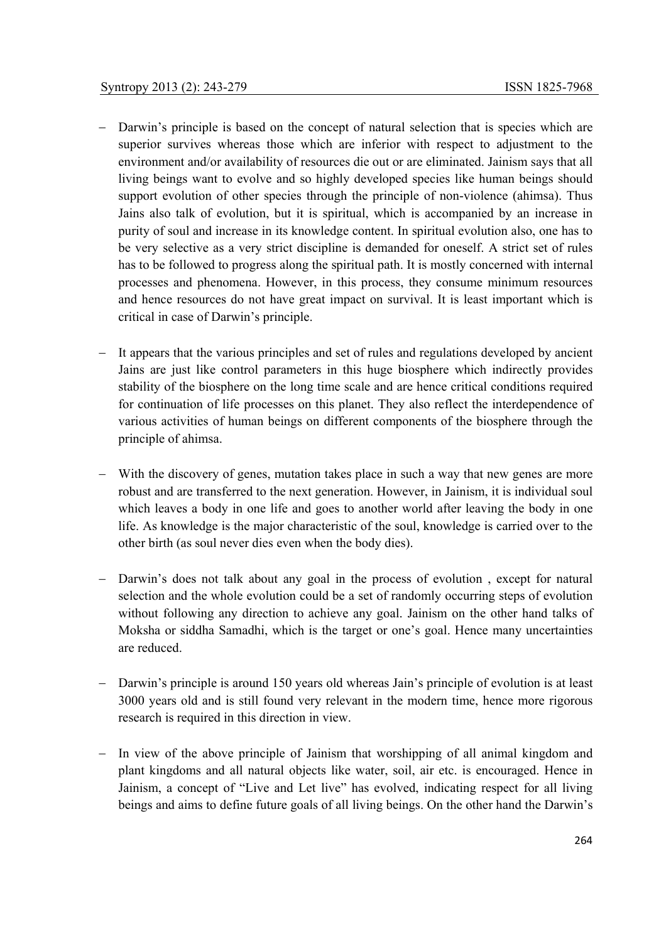- − Darwin's principle is based on the concept of natural selection that is species which are superior survives whereas those which are inferior with respect to adjustment to the environment and/or availability of resources die out or are eliminated. Jainism says that all living beings want to evolve and so highly developed species like human beings should support evolution of other species through the principle of non-violence (ahimsa). Thus Jains also talk of evolution, but it is spiritual, which is accompanied by an increase in purity of soul and increase in its knowledge content. In spiritual evolution also, one has to be very selective as a very strict discipline is demanded for oneself. A strict set of rules has to be followed to progress along the spiritual path. It is mostly concerned with internal processes and phenomena. However, in this process, they consume minimum resources and hence resources do not have great impact on survival. It is least important which is critical in case of Darwin's principle.
- − It appears that the various principles and set of rules and regulations developed by ancient Jains are just like control parameters in this huge biosphere which indirectly provides stability of the biosphere on the long time scale and are hence critical conditions required for continuation of life processes on this planet. They also reflect the interdependence of various activities of human beings on different components of the biosphere through the principle of ahimsa.
- With the discovery of genes, mutation takes place in such a way that new genes are more robust and are transferred to the next generation. However, in Jainism, it is individual soul which leaves a body in one life and goes to another world after leaving the body in one life. As knowledge is the major characteristic of the soul, knowledge is carried over to the other birth (as soul never dies even when the body dies).
- − Darwin's does not talk about any goal in the process of evolution , except for natural selection and the whole evolution could be a set of randomly occurring steps of evolution without following any direction to achieve any goal. Jainism on the other hand talks of Moksha or siddha Samadhi, which is the target or one's goal. Hence many uncertainties are reduced.
- − Darwin's principle is around 150 years old whereas Jain's principle of evolution is at least 3000 years old and is still found very relevant in the modern time, hence more rigorous research is required in this direction in view.
- − In view of the above principle of Jainism that worshipping of all animal kingdom and plant kingdoms and all natural objects like water, soil, air etc. is encouraged. Hence in Jainism, a concept of "Live and Let live" has evolved, indicating respect for all living beings and aims to define future goals of all living beings. On the other hand the Darwin's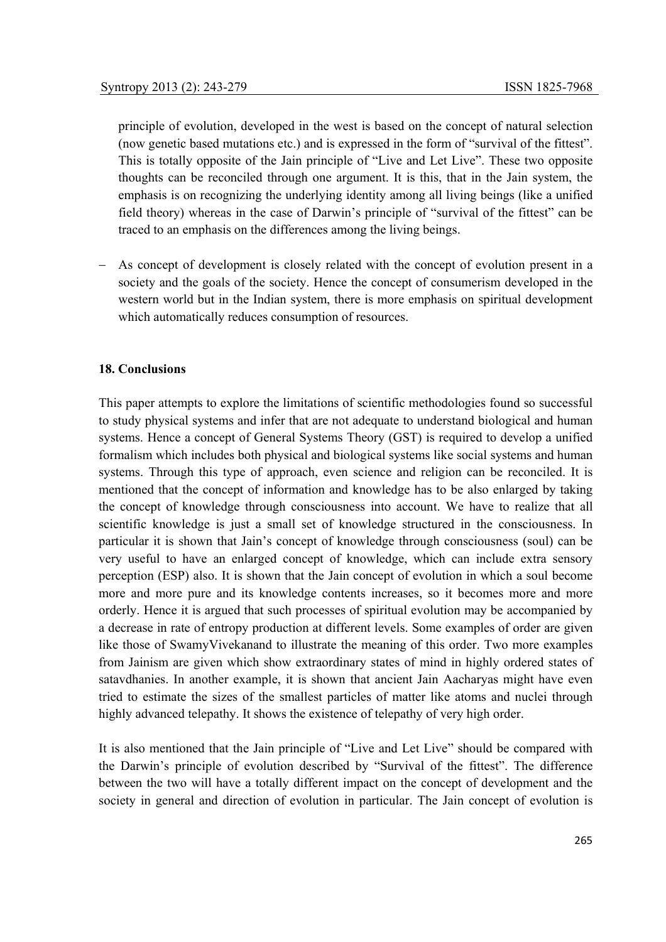principle of evolution, developed in the west is based on the concept of natural selection (now genetic based mutations etc.) and is expressed in the form of "survival of the fittest". This is totally opposite of the Jain principle of "Live and Let Live". These two opposite thoughts can be reconciled through one argument. It is this, that in the Jain system, the emphasis is on recognizing the underlying identity among all living beings (like a unified field theory) whereas in the case of Darwin's principle of "survival of the fittest" can be traced to an emphasis on the differences among the living beings.

As concept of development is closely related with the concept of evolution present in a society and the goals of the society. Hence the concept of consumerism developed in the western world but in the Indian system, there is more emphasis on spiritual development which automatically reduces consumption of resources.

# **18. Conclusions**

This paper attempts to explore the limitations of scientific methodologies found so successful to study physical systems and infer that are not adequate to understand biological and human systems. Hence a concept of General Systems Theory (GST) is required to develop a unified formalism which includes both physical and biological systems like social systems and human systems. Through this type of approach, even science and religion can be reconciled. It is mentioned that the concept of information and knowledge has to be also enlarged by taking the concept of knowledge through consciousness into account. We have to realize that all scientific knowledge is just a small set of knowledge structured in the consciousness. In particular it is shown that Jain's concept of knowledge through consciousness (soul) can be very useful to have an enlarged concept of knowledge, which can include extra sensory perception (ESP) also. It is shown that the Jain concept of evolution in which a soul become more and more pure and its knowledge contents increases, so it becomes more and more orderly. Hence it is argued that such processes of spiritual evolution may be accompanied by a decrease in rate of entropy production at different levels. Some examples of order are given like those of SwamyVivekanand to illustrate the meaning of this order. Two more examples from Jainism are given which show extraordinary states of mind in highly ordered states of satavdhanies. In another example, it is shown that ancient Jain Aacharyas might have even tried to estimate the sizes of the smallest particles of matter like atoms and nuclei through highly advanced telepathy. It shows the existence of telepathy of very high order.

It is also mentioned that the Jain principle of "Live and Let Live" should be compared with the Darwin's principle of evolution described by "Survival of the fittest". The difference between the two will have a totally different impact on the concept of development and the society in general and direction of evolution in particular. The Jain concept of evolution is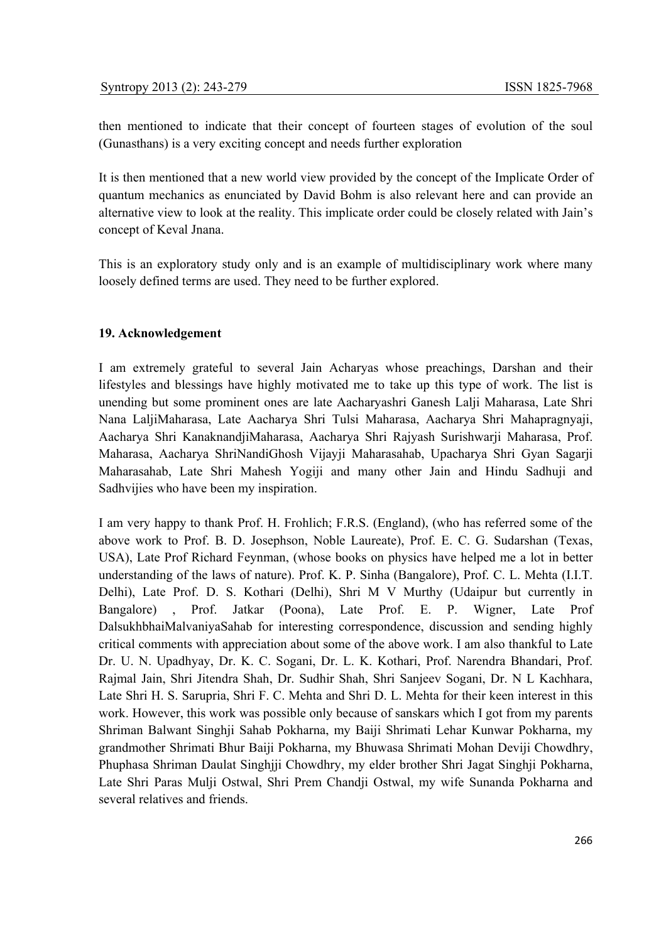then mentioned to indicate that their concept of fourteen stages of evolution of the soul (Gunasthans) is a very exciting concept and needs further exploration

It is then mentioned that a new world view provided by the concept of the Implicate Order of quantum mechanics as enunciated by David Bohm is also relevant here and can provide an alternative view to look at the reality. This implicate order could be closely related with Jain's concept of Keval Jnana.

This is an exploratory study only and is an example of multidisciplinary work where many loosely defined terms are used. They need to be further explored.

### **19. Acknowledgement**

I am extremely grateful to several Jain Acharyas whose preachings, Darshan and their lifestyles and blessings have highly motivated me to take up this type of work. The list is unending but some prominent ones are late Aacharyashri Ganesh Lalji Maharasa, Late Shri Nana LaljiMaharasa, Late Aacharya Shri Tulsi Maharasa, Aacharya Shri Mahapragnyaji, Aacharya Shri KanaknandjiMaharasa, Aacharya Shri Rajyash Surishwarji Maharasa, Prof. Maharasa, Aacharya ShriNandiGhosh Vijayji Maharasahab, Upacharya Shri Gyan Sagarji Maharasahab, Late Shri Mahesh Yogiji and many other Jain and Hindu Sadhuji and Sadhvijies who have been my inspiration.

I am very happy to thank Prof. H. Frohlich; F.R.S. (England), (who has referred some of the above work to Prof. B. D. Josephson, Noble Laureate), Prof. E. C. G. Sudarshan (Texas, USA), Late Prof Richard Feynman, (whose books on physics have helped me a lot in better understanding of the laws of nature). Prof. K. P. Sinha (Bangalore), Prof. C. L. Mehta (I.I.T. Delhi), Late Prof. D. S. Kothari (Delhi), Shri M V Murthy (Udaipur but currently in Bangalore) , Prof. Jatkar (Poona), Late Prof. E. P. Wigner, Late Prof DalsukhbhaiMalvaniyaSahab for interesting correspondence, discussion and sending highly critical comments with appreciation about some of the above work. I am also thankful to Late Dr. U. N. Upadhyay, Dr. K. C. Sogani, Dr. L. K. Kothari, Prof. Narendra Bhandari, Prof. Rajmal Jain, Shri Jitendra Shah, Dr. Sudhir Shah, Shri Sanjeev Sogani, Dr. N L Kachhara, Late Shri H. S. Sarupria, Shri F. C. Mehta and Shri D. L. Mehta for their keen interest in this work. However, this work was possible only because of sanskars which I got from my parents Shriman Balwant Singhji Sahab Pokharna, my Baiji Shrimati Lehar Kunwar Pokharna, my grandmother Shrimati Bhur Baiji Pokharna, my Bhuwasa Shrimati Mohan Deviji Chowdhry, Phuphasa Shriman Daulat Singhjji Chowdhry, my elder brother Shri Jagat Singhji Pokharna, Late Shri Paras Mulji Ostwal, Shri Prem Chandji Ostwal, my wife Sunanda Pokharna and several relatives and friends.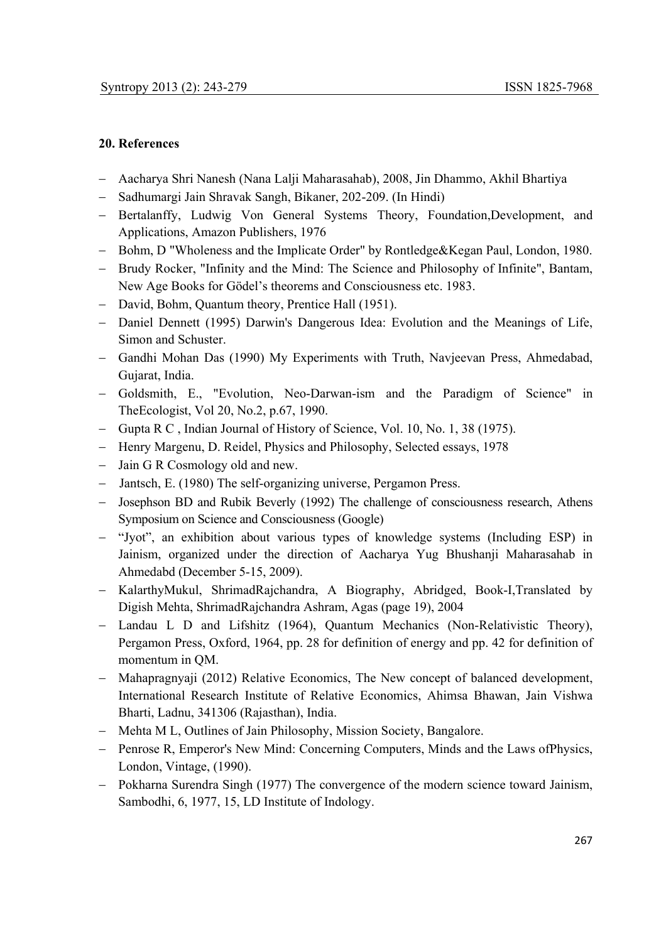## **20. References**

- − Aacharya Shri Nanesh (Nana Lalji Maharasahab), 2008, Jin Dhammo, Akhil Bhartiya
- − Sadhumargi Jain Shravak Sangh, Bikaner, 202-209. (In Hindi)
- − Bertalanffy, Ludwig Von General Systems Theory, Foundation,Development, and Applications, Amazon Publishers, 1976
- − Bohm, D "Wholeness and the Implicate Order" by Rontledge&Kegan Paul, London, 1980.
- − Brudy Rocker, "Infinity and the Mind: The Science and Philosophy of Infinite", Bantam, New Age Books for Gödel's theorems and Consciousness etc. 1983.
- − David, Bohm, Quantum theory, Prentice Hall (1951).
- − Daniel Dennett (1995) Darwin's Dangerous Idea: Evolution and the Meanings of Life, Simon and Schuster.
- − Gandhi Mohan Das (1990) My Experiments with Truth, Navjeevan Press, Ahmedabad, Gujarat, India.
- − Goldsmith, E., "Evolution, Neo-Darwan-ism and the Paradigm of Science" in TheEcologist, Vol 20, No.2, p.67, 1990.
- − Gupta R C , Indian Journal of History of Science, Vol. 10, No. 1, 38 (1975).
- − Henry Margenu, D. Reidel, Physics and Philosophy, Selected essays, 1978
- − Jain G R Cosmology old and new.
- − Jantsch, E. (1980) The self-organizing universe, Pergamon Press.
- − Josephson BD and Rubik Beverly (1992) The challenge of consciousness research, Athens Symposium on Science and Consciousness (Google)
- − "Jyot", an exhibition about various types of knowledge systems (Including ESP) in Jainism, organized under the direction of Aacharya Yug Bhushanji Maharasahab in Ahmedabd (December 5-15, 2009).
- − KalarthyMukul, ShrimadRajchandra, A Biography, Abridged, Book-I,Translated by Digish Mehta, ShrimadRajchandra Ashram, Agas (page 19), 2004
- − Landau L D and Lifshitz (1964), Quantum Mechanics (Non-Relativistic Theory), Pergamon Press, Oxford, 1964, pp. 28 for definition of energy and pp. 42 for definition of momentum in QM.
- Mahapragnyaji (2012) Relative Economics, The New concept of balanced development, International Research Institute of Relative Economics, Ahimsa Bhawan, Jain Vishwa Bharti, Ladnu, 341306 (Rajasthan), India.
- − Mehta M L, Outlines of Jain Philosophy, Mission Society, Bangalore.
- − Penrose R, Emperor's New Mind: Concerning Computers, Minds and the Laws ofPhysics, London, Vintage, (1990).
- − Pokharna Surendra Singh (1977) The convergence of the modern science toward Jainism, Sambodhi, 6, 1977, 15, LD Institute of Indology.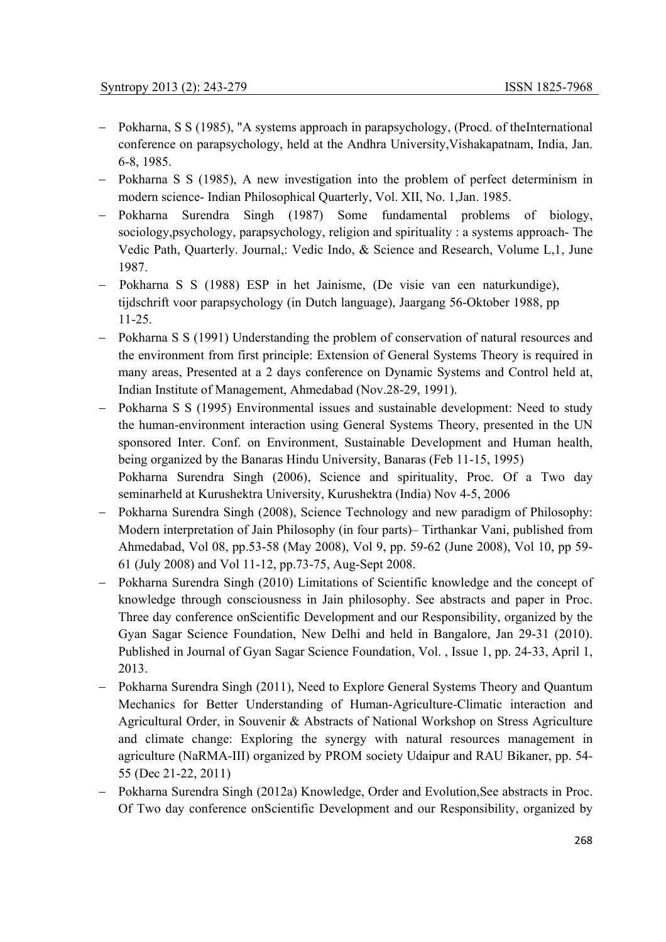- − Pokharna, S S (1985), "A systems approach in parapsychology, (Procd. of theInternational conference on parapsychology, held at the Andhra University,Vishakapatnam, India, Jan. 6-8, 1985.
- − Pokharna S S (1985), A new investigation into the problem of perfect determinism in modern science- Indian Philosophical Quarterly, Vol. XII, No. 1,Jan. 1985.
- − Pokharna Surendra Singh (1987) Some fundamental problems of biology, sociology,psychology, parapsychology, religion and spirituality : a systems approach- The Vedic Path, Quarterly. Journal,: Vedic Indo, & Science and Research, Volume L,1, June 1987.
- − Pokharna S S (1988) ESP in het Jainisme, (De visie van een naturkundige), tijdschrift voor parapsychology (in Dutch language), Jaargang 56-Oktober 1988, pp 11-25.
- − Pokharna S S (1991) Understanding the problem of conservation of natural resources and the environment from first principle: Extension of General Systems Theory is required in many areas, Presented at a 2 days conference on Dynamic Systems and Control held at, Indian Institute of Management, Ahmedabad (Nov.28-29, 1991).
- − Pokharna S S (1995) Environmental issues and sustainable development: Need to study the human-environment interaction using General Systems Theory, presented in the UN sponsored Inter. Conf. on Environment, Sustainable Development and Human health, being organized by the Banaras Hindu University, Banaras (Feb 11-15, 1995) Pokharna Surendra Singh (2006), Science and spirituality, Proc. Of a Two day

seminarheld at Kurushektra University, Kurushektra (India) Nov 4-5, 2006

- − Pokharna Surendra Singh (2008), Science Technology and new paradigm of Philosophy: Modern interpretation of Jain Philosophy (in four parts)– Tirthankar Vani, published from Ahmedabad, Vol 08, pp.53-58 (May 2008), Vol 9, pp. 59-62 (June 2008), Vol 10, pp 59- 61 (July 2008) and Vol 11-12, pp.73-75, Aug-Sept 2008.
- − Pokharna Surendra Singh (2010) Limitations of Scientific knowledge and the concept of knowledge through consciousness in Jain philosophy. See abstracts and paper in Proc. Three day conference onScientific Development and our Responsibility, organized by the Gyan Sagar Science Foundation, New Delhi and held in Bangalore, Jan 29-31 (2010). Published in Journal of Gyan Sagar Science Foundation, Vol. , Issue 1, pp. 24-33, April 1, 2013.
- − Pokharna Surendra Singh (2011), Need to Explore General Systems Theory and Quantum Mechanics for Better Understanding of Human-Agriculture-Climatic interaction and Agricultural Order, in Souvenir & Abstracts of National Workshop on Stress Agriculture and climate change: Exploring the synergy with natural resources management in agriculture (NaRMA-III) organized by PROM society Udaipur and RAU Bikaner, pp. 54- 55 (Dec 21-22, 2011)
- − Pokharna Surendra Singh (2012a) Knowledge, Order and Evolution,See abstracts in Proc. Of Two day conference onScientific Development and our Responsibility, organized by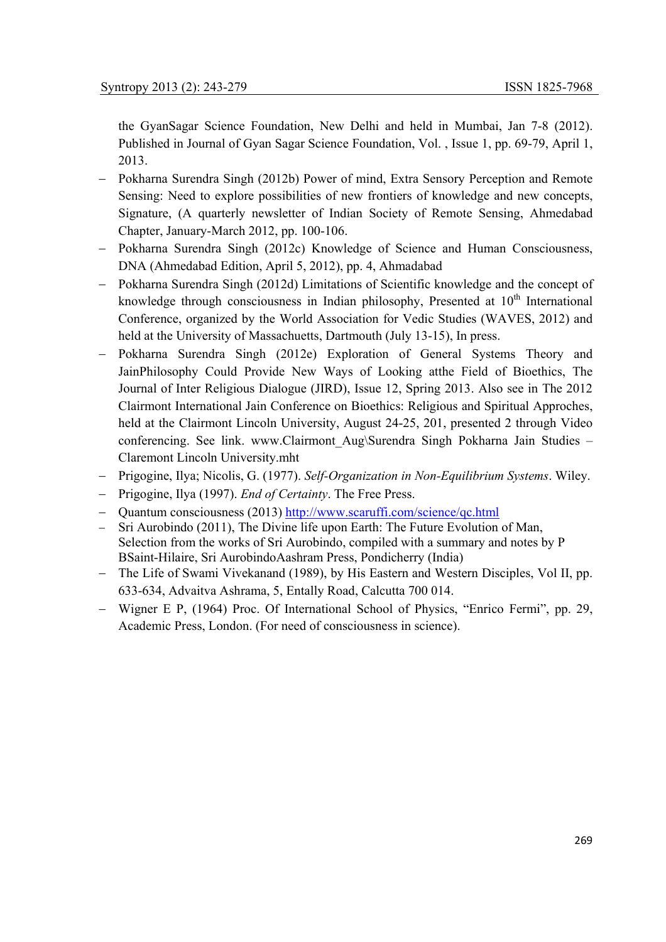the GyanSagar Science Foundation, New Delhi and held in Mumbai, Jan 7-8 (2012). Published in Journal of Gyan Sagar Science Foundation, Vol. , Issue 1, pp. 69-79, April 1, 2013.

- − Pokharna Surendra Singh (2012b) Power of mind, Extra Sensory Perception and Remote Sensing: Need to explore possibilities of new frontiers of knowledge and new concepts, Signature, (A quarterly newsletter of Indian Society of Remote Sensing, Ahmedabad Chapter, January-March 2012, pp. 100-106.
- − Pokharna Surendra Singh (2012c) Knowledge of Science and Human Consciousness, DNA (Ahmedabad Edition, April 5, 2012), pp. 4, Ahmadabad
- − Pokharna Surendra Singh (2012d) Limitations of Scientific knowledge and the concept of knowledge through consciousness in Indian philosophy, Presented at  $10<sup>th</sup>$  International Conference, organized by the World Association for Vedic Studies (WAVES, 2012) and held at the University of Massachuetts, Dartmouth (July 13-15), In press.
- − Pokharna Surendra Singh (2012e) Exploration of General Systems Theory and JainPhilosophy Could Provide New Ways of Looking atthe Field of Bioethics, The Journal of Inter Religious Dialogue (JIRD), Issue 12, Spring 2013. Also see in The 2012 Clairmont International Jain Conference on Bioethics: Religious and Spiritual Approches, held at the Clairmont Lincoln University, August 24-25, 201, presented 2 through Video conferencing. See link. www.Clairmont\_Aug\Surendra Singh Pokharna Jain Studies – Claremont Lincoln University.mht
- − Prigogine, Ilya; Nicolis, G. (1977). *Self-Organization in Non-Equilibrium Systems*. Wiley.
- − Prigogine, Ilya (1997). *End of Certainty*. The Free Press.
- − Quantum consciousness (2013) http://www.scaruffi.com/science/qc.html
- Sri Aurobindo (2011), The Divine life upon Earth: The Future Evolution of Man, Selection from the works of Sri Aurobindo, compiled with a summary and notes by P BSaint-Hilaire, Sri AurobindoAashram Press, Pondicherry (India)
- − The Life of Swami Vivekanand (1989), by His Eastern and Western Disciples, Vol II, pp. 633-634, Advaitva Ashrama, 5, Entally Road, Calcutta 700 014.
- − Wigner E P, (1964) Proc. Of International School of Physics, "Enrico Fermi", pp. 29, Academic Press, London. (For need of consciousness in science).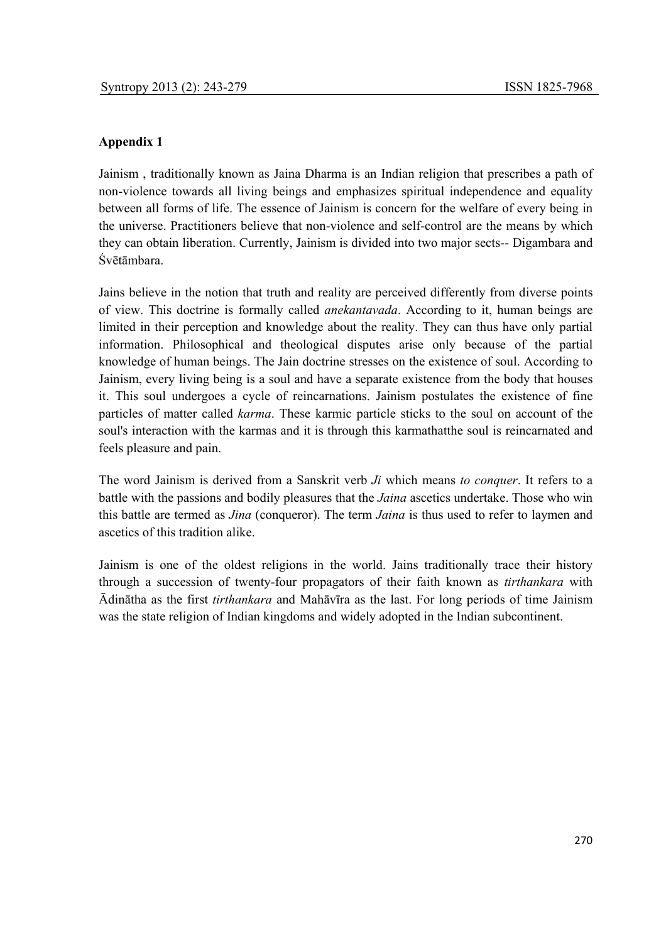# **Appendix 1**

Jainism , traditionally known as Jaina Dharma is an Indian religion that prescribes a path of non-violence towards all living beings and emphasizes spiritual independence and equality between all forms of life. The essence of Jainism is concern for the welfare of every being in the universe. Practitioners believe that non-violence and self-control are the means by which they can obtain liberation. Currently, Jainism is divided into two major sects-- Digambara and Śvētāmbara.

Jains believe in the notion that truth and reality are perceived differently from diverse points of view. This doctrine is formally called *anekantavada*. According to it, human beings are limited in their perception and knowledge about the reality. They can thus have only partial information. Philosophical and theological disputes arise only because of the partial knowledge of human beings. The Jain doctrine stresses on the existence of soul. According to Jainism, every living being is a soul and have a separate existence from the body that houses it. This soul undergoes a cycle of reincarnations. Jainism postulates the existence of fine particles of matter called *karma*. These karmic particle sticks to the soul on account of the soul's interaction with the karmas and it is through this karmathatthe soul is reincarnated and feels pleasure and pain.

The word Jainism is derived from a Sanskrit verb *Ji* which means *to conquer*. It refers to a battle with the passions and bodily pleasures that the *Jaina* ascetics undertake. Those who win this battle are termed as *Jina* (conqueror). The term *Jaina* is thus used to refer to laymen and ascetics of this tradition alike.

Jainism is one of the oldest religions in the world. Jains traditionally trace their history through a succession of twenty-four propagators of their faith known as *tirthankara* with Ādinātha as the first *tirthankara* and Mahāvīra as the last. For long periods of time Jainism was the state religion of Indian kingdoms and widely adopted in the Indian subcontinent.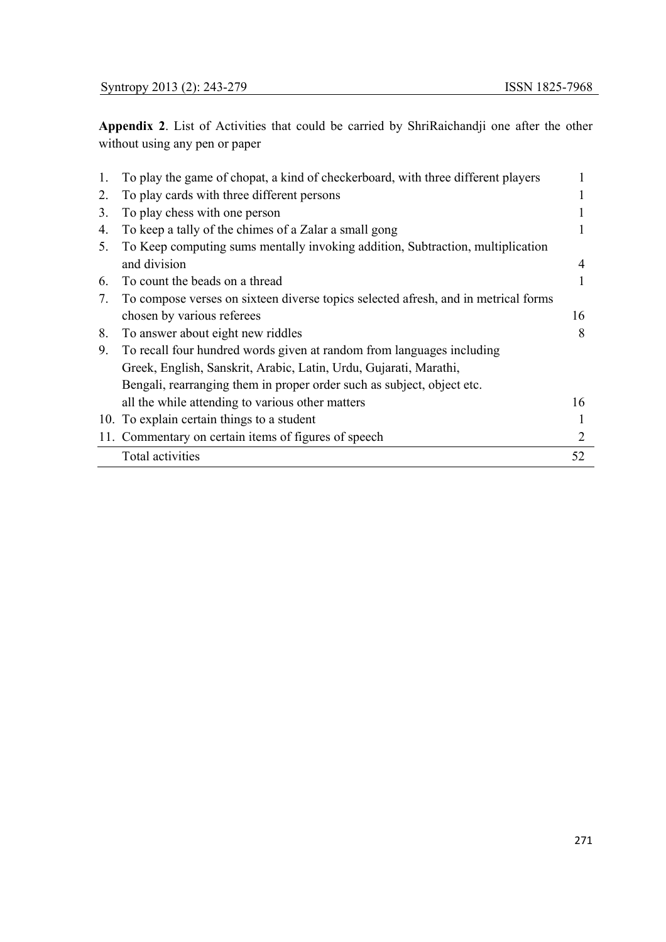**Appendix 2**. List of Activities that could be carried by ShriRaichandji one after the other without using any pen or paper

| 1.             | To play the game of chopat, a kind of checkerboard, with three different players   |    |
|----------------|------------------------------------------------------------------------------------|----|
| 2.             | To play cards with three different persons                                         |    |
| 3 <sub>1</sub> | To play chess with one person                                                      |    |
| 4.             | To keep a tally of the chimes of a Zalar a small gong                              |    |
| 5.             | To Keep computing sums mentally invoking addition, Subtraction, multiplication     |    |
|                | and division                                                                       | 4  |
| 6.             | To count the beads on a thread                                                     |    |
| 7.             | To compose verses on sixteen diverse topics selected afresh, and in metrical forms |    |
|                | chosen by various referees                                                         | 16 |
| 8.             | To answer about eight new riddles                                                  | 8  |
| 9.             | To recall four hundred words given at random from languages including              |    |
|                | Greek, English, Sanskrit, Arabic, Latin, Urdu, Gujarati, Marathi,                  |    |
|                | Bengali, rearranging them in proper order such as subject, object etc.             |    |
|                | all the while attending to various other matters                                   | 16 |
|                | 10. To explain certain things to a student                                         |    |
|                | 11. Commentary on certain items of figures of speech                               | 2  |
|                | Total activities                                                                   | 52 |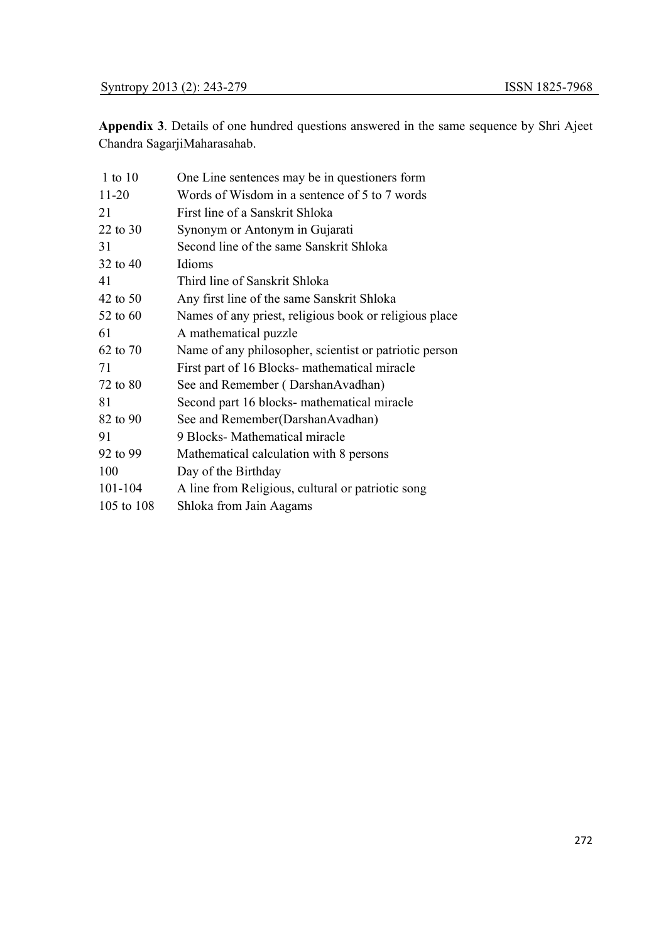**Appendix 3**. Details of one hundred questions answered in the same sequence by Shri Ajeet Chandra SagarjiMaharasahab.

| $1$ to $10$ | One Line sentences may be in questioners form          |
|-------------|--------------------------------------------------------|
| $11 - 20$   | Words of Wisdom in a sentence of 5 to 7 words          |
| 21          | First line of a Sanskrit Shloka                        |
| 22 to 30    | Synonym or Antonym in Gujarati                         |
| 31          | Second line of the same Sanskrit Shloka                |
| 32 to 40    | Idioms                                                 |
| 41          | Third line of Sanskrit Shloka                          |
| 42 to 50    | Any first line of the same Sanskrit Shloka             |
| 52 to 60    | Names of any priest, religious book or religious place |
| 61          | A mathematical puzzle                                  |
| 62 to 70    | Name of any philosopher, scientist or patriotic person |
| 71          | First part of 16 Blocks- mathematical miracle          |
| 72 to 80    | See and Remember (DarshanAvadhan)                      |
| 81          | Second part 16 blocks- mathematical miracle            |
| 82 to 90    | See and Remember(DarshanAvadhan)                       |
| 91          | 9 Blocks- Mathematical miracle                         |
| 92 to 99    | Mathematical calculation with 8 persons                |
| 100         | Day of the Birthday                                    |
| 101-104     | A line from Religious, cultural or patriotic song      |
| 105 to 108  | Shloka from Jain Aagams                                |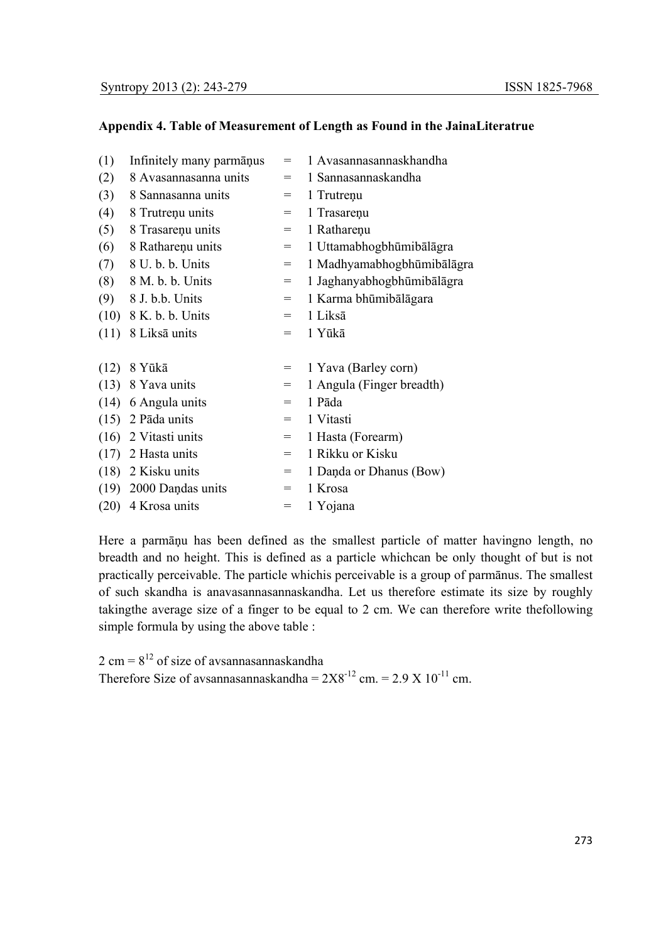# **Appendix 4. Table of Measurement of Length as Found in the JainaLiteratrue**

| (1)  | Infinitely many parmants | $=$ | 1 Avasannasannaskhandha    |
|------|--------------------------|-----|----------------------------|
| (2)  | 8 Avasannasanna units    | $=$ | 1 Sannasannaskandha        |
| (3)  | 8 Sannasanna units       | $=$ | 1 Trutreņu                 |
| (4)  | 8 Trutreņu units         | $=$ | 1 Trasareņu                |
| (5)  | 8 Trasareņu units        | $=$ | 1 Ratharenu                |
| (6)  | 8 Ratharenu units        | $=$ | 1 Uttamabhogbhūmibālāgra   |
| (7)  | 8 U. b. b. Units         | $=$ | 1 Madhyamabhogbhūmibālāgra |
| (8)  | 8 M. b. b. Units         | $=$ | 1 Jaghanyabhogbhūmibālāgra |
| (9)  | 8 J. b.b. Units          | $=$ | 1 Karma bhūmibālāgara      |
| (10) | 8 K. b. b. Units         | $=$ | 1 Liksā                    |
|      | $(11)$ 8 Liksa units     | $=$ | 1 Yūkā                     |
|      |                          |     |                            |
| (12) | 8 Yūkā                   | $=$ | 1 Yava (Barley corn)       |
| (13) | 8 Yava units             | $=$ | 1 Angula (Finger breadth)  |
|      | $(14)$ 6 Angula units    | $=$ | 1 Pāda                     |
|      | $(15)$ 2 Pāda units      | $=$ | 1 Vitasti                  |
| (16) | 2 Vitasti units          | $=$ | 1 Hasta (Forearm)          |
| (17) | 2 Hasta units            | $=$ | 1 Rikku or Kisku           |
| (18) | 2 Kisku units            | $=$ | 1 Danda or Dhanus (Bow)    |
|      | $(19)$ 2000 Dandas units | $=$ | 1 Krosa                    |
| (20) | 4 Krosa units            | $=$ | 1 Yojana                   |

Here a parmāņu has been defined as the smallest particle of matter havingno length, no breadth and no height. This is defined as a particle whichcan be only thought of but is not practically perceivable. The particle whichis perceivable is a group of parmānus. The smallest of such skandha is anavasannasannaskandha. Let us therefore estimate its size by roughly takingthe average size of a finger to be equal to 2 cm. We can therefore write thefollowing simple formula by using the above table :

 $2 \text{ cm} = 8^{12} \text{ of size of a}$  avsannasannaskandha Therefore Size of avsannasannaskandha =  $2X8^{-12}$  cm. =  $2.9 \text{ X } 10^{-11}$  cm.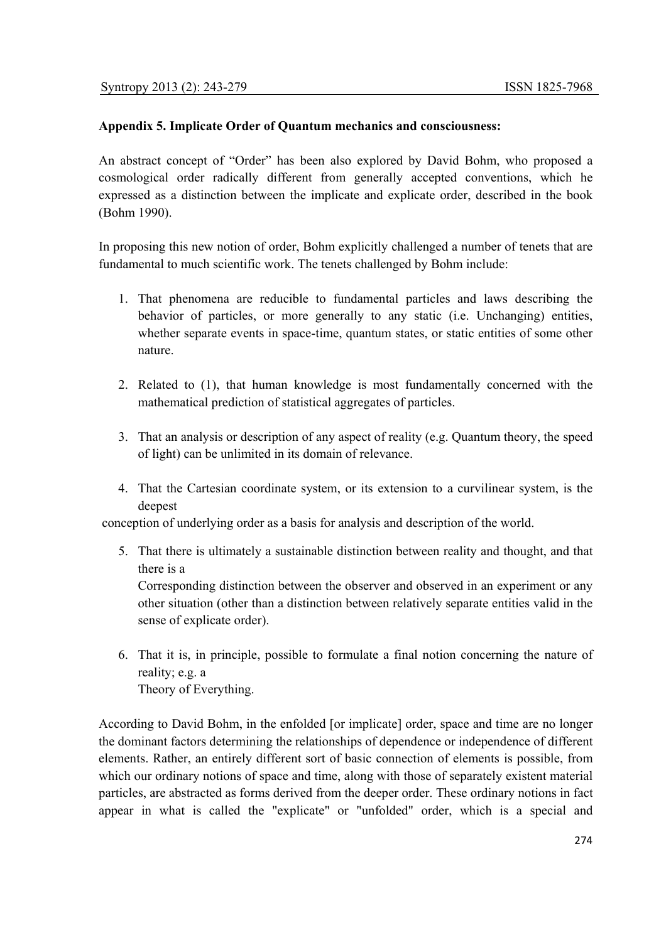# **Appendix 5. Implicate Order of Quantum mechanics and consciousness:**

An abstract concept of "Order" has been also explored by David Bohm, who proposed a cosmological order radically different from generally accepted conventions, which he expressed as a distinction between the implicate and explicate order, described in the book (Bohm 1990).

In proposing this new notion of order, Bohm explicitly challenged a number of tenets that are fundamental to much scientific work. The tenets challenged by Bohm include:

- 1. That phenomena are reducible to fundamental particles and laws describing the behavior of particles, or more generally to any static (i.e. Unchanging) entities, whether separate events in space-time, quantum states, or static entities of some other nature.
- 2. Related to (1), that human knowledge is most fundamentally concerned with the mathematical prediction of statistical aggregates of particles.
- 3. That an analysis or description of any aspect of reality (e.g. Quantum theory, the speed of light) can be unlimited in its domain of relevance.
- 4. That the Cartesian coordinate system, or its extension to a curvilinear system, is the deepest

conception of underlying order as a basis for analysis and description of the world.

5. That there is ultimately a sustainable distinction between reality and thought, and that there is a Corresponding distinction between the observer and observed in an experiment or any

other situation (other than a distinction between relatively separate entities valid in the sense of explicate order).

6. That it is, in principle, possible to formulate a final notion concerning the nature of reality; e.g. a Theory of Everything.

According to David Bohm, in the enfolded [or implicate] order, space and time are no longer the dominant factors determining the relationships of dependence or independence of different elements. Rather, an entirely different sort of basic connection of elements is possible, from which our ordinary notions of space and time, along with those of separately existent material particles, are abstracted as forms derived from the deeper order. These ordinary notions in fact appear in what is called the "explicate" or "unfolded" order, which is a special and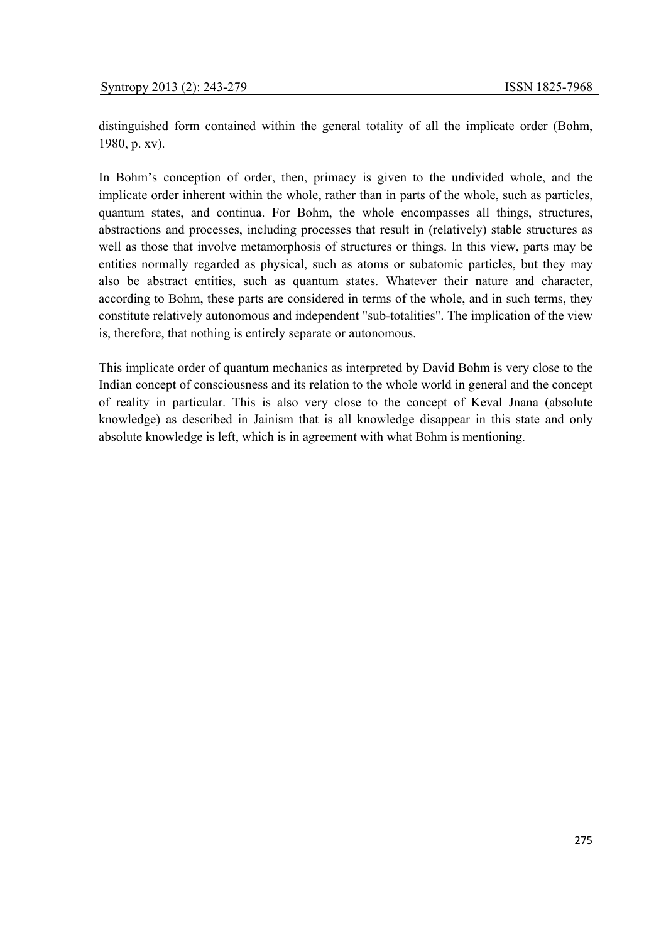distinguished form contained within the general totality of all the implicate order (Bohm, 1980, p. xv).

In Bohm's conception of order, then, primacy is given to the undivided whole, and the implicate order inherent within the whole, rather than in parts of the whole, such as particles, quantum states, and continua. For Bohm, the whole encompasses all things, structures, abstractions and processes, including processes that result in (relatively) stable structures as well as those that involve metamorphosis of structures or things. In this view, parts may be entities normally regarded as physical, such as atoms or subatomic particles, but they may also be abstract entities, such as quantum states. Whatever their nature and character, according to Bohm, these parts are considered in terms of the whole, and in such terms, they constitute relatively autonomous and independent "sub-totalities". The implication of the view is, therefore, that nothing is entirely separate or autonomous.

This implicate order of quantum mechanics as interpreted by David Bohm is very close to the Indian concept of consciousness and its relation to the whole world in general and the concept of reality in particular. This is also very close to the concept of Keval Jnana (absolute knowledge) as described in Jainism that is all knowledge disappear in this state and only absolute knowledge is left, which is in agreement with what Bohm is mentioning.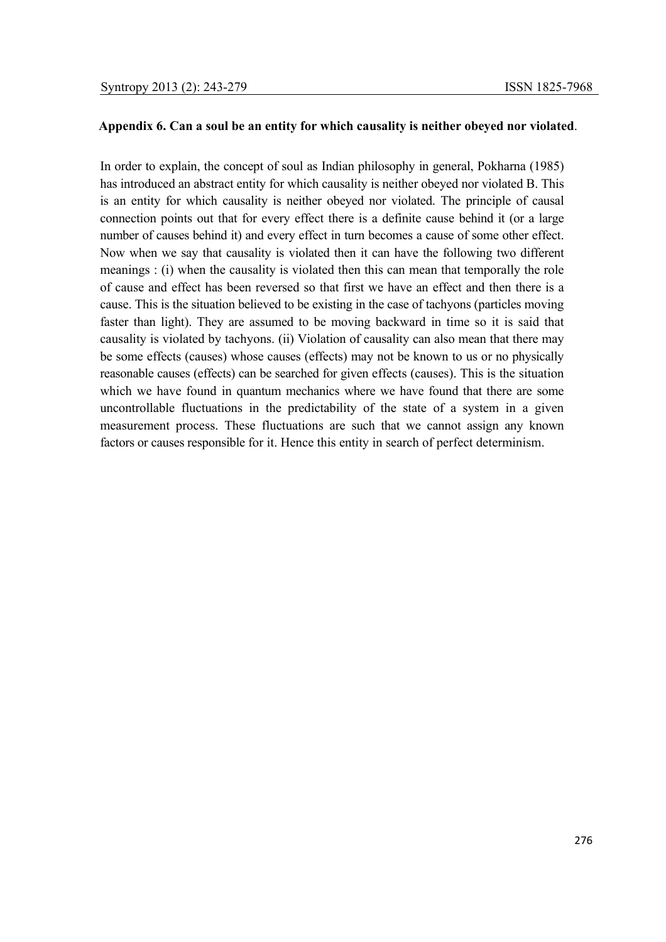#### **Appendix 6. Can a soul be an entity for which causality is neither obeyed nor violated**.

In order to explain, the concept of soul as Indian philosophy in general, Pokharna (1985) has introduced an abstract entity for which causality is neither obeyed nor violated B. This is an entity for which causality is neither obeyed nor violated. The principle of causal connection points out that for every effect there is a definite cause behind it (or a large number of causes behind it) and every effect in turn becomes a cause of some other effect. Now when we say that causality is violated then it can have the following two different meanings : (i) when the causality is violated then this can mean that temporally the role of cause and effect has been reversed so that first we have an effect and then there is a cause. This is the situation believed to be existing in the case of tachyons (particles moving faster than light). They are assumed to be moving backward in time so it is said that causality is violated by tachyons. (ii) Violation of causality can also mean that there may be some effects (causes) whose causes (effects) may not be known to us or no physically reasonable causes (effects) can be searched for given effects (causes). This is the situation which we have found in quantum mechanics where we have found that there are some uncontrollable fluctuations in the predictability of the state of a system in a given measurement process. These fluctuations are such that we cannot assign any known factors or causes responsible for it. Hence this entity in search of perfect determinism.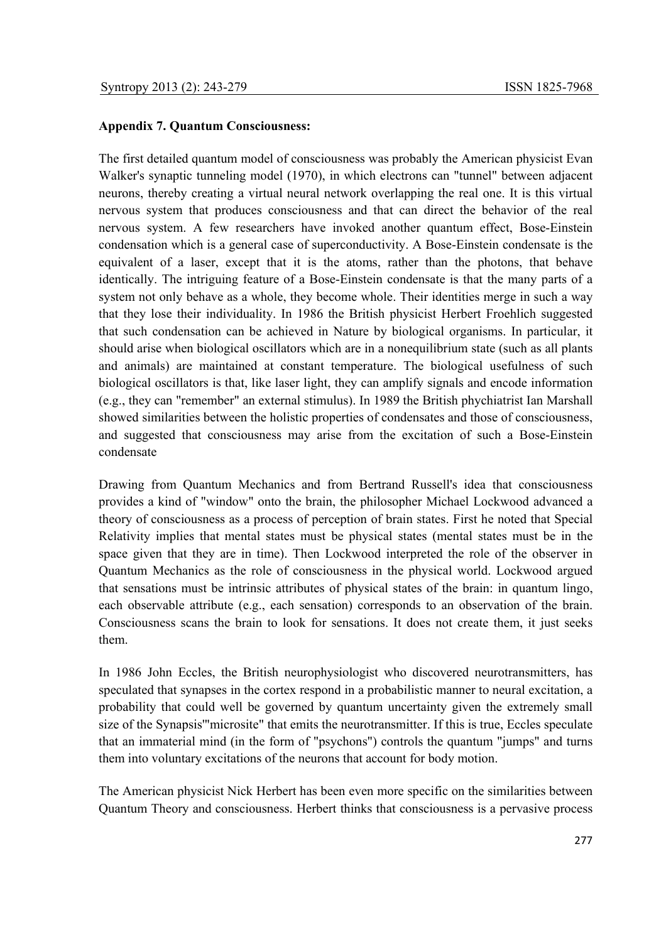# **Appendix 7. Quantum Consciousness:**

The first detailed quantum model of consciousness was probably the American physicist Evan Walker's synaptic tunneling model (1970), in which electrons can "tunnel" between adjacent neurons, thereby creating a virtual neural network overlapping the real one. It is this virtual nervous system that produces consciousness and that can direct the behavior of the real nervous system. A few researchers have invoked another quantum effect, Bose-Einstein condensation which is a general case of superconductivity. A Bose-Einstein condensate is the equivalent of a laser, except that it is the atoms, rather than the photons, that behave identically. The intriguing feature of a Bose-Einstein condensate is that the many parts of a system not only behave as a whole, they become whole. Their identities merge in such a way that they lose their individuality. In 1986 the British physicist Herbert Froehlich suggested that such condensation can be achieved in Nature by biological organisms. In particular, it should arise when biological oscillators which are in a nonequilibrium state (such as all plants and animals) are maintained at constant temperature. The biological usefulness of such biological oscillators is that, like laser light, they can amplify signals and encode information (e.g., they can "remember" an external stimulus). In 1989 the British phychiatrist Ian Marshall showed similarities between the holistic properties of condensates and those of consciousness, and suggested that consciousness may arise from the excitation of such a Bose-Einstein condensate

Drawing from Quantum Mechanics and from Bertrand Russell's idea that consciousness provides a kind of "window" onto the brain, the philosopher Michael Lockwood advanced a theory of consciousness as a process of perception of brain states. First he noted that Special Relativity implies that mental states must be physical states (mental states must be in the space given that they are in time). Then Lockwood interpreted the role of the observer in Quantum Mechanics as the role of consciousness in the physical world. Lockwood argued that sensations must be intrinsic attributes of physical states of the brain: in quantum lingo, each observable attribute (e.g., each sensation) corresponds to an observation of the brain. Consciousness scans the brain to look for sensations. It does not create them, it just seeks them.

In 1986 John Eccles, the British neurophysiologist who discovered neurotransmitters, has speculated that synapses in the cortex respond in a probabilistic manner to neural excitation, a probability that could well be governed by quantum uncertainty given the extremely small size of the Synapsis'"microsite" that emits the neurotransmitter. If this is true, Eccles speculate that an immaterial mind (in the form of "psychons") controls the quantum "jumps" and turns them into voluntary excitations of the neurons that account for body motion.

The American physicist Nick Herbert has been even more specific on the similarities between Quantum Theory and consciousness. Herbert thinks that consciousness is a pervasive process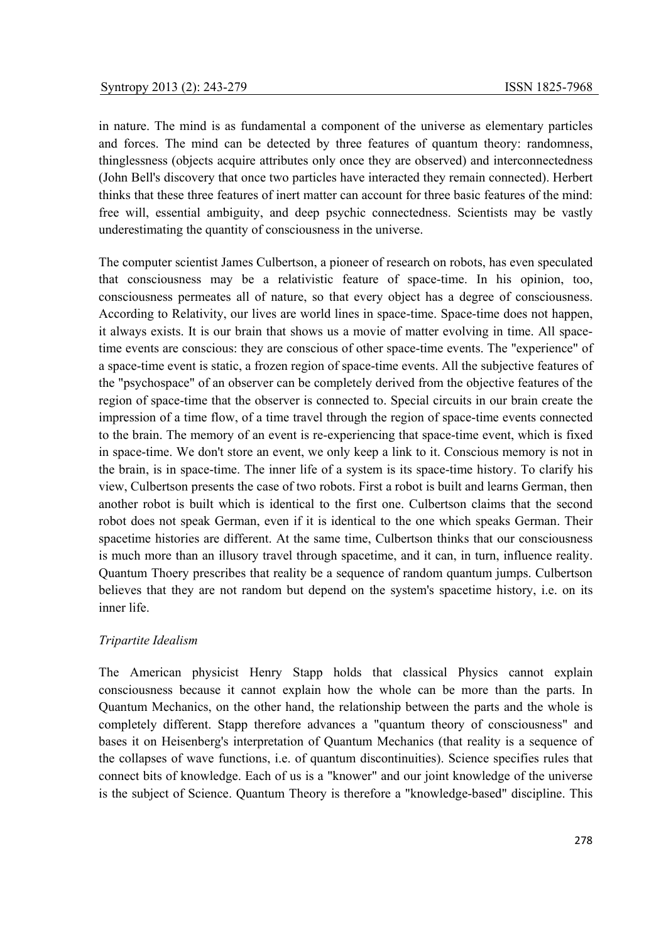in nature. The mind is as fundamental a component of the universe as elementary particles and forces. The mind can be detected by three features of quantum theory: randomness, thinglessness (objects acquire attributes only once they are observed) and interconnectedness (John Bell's discovery that once two particles have interacted they remain connected). Herbert thinks that these three features of inert matter can account for three basic features of the mind: free will, essential ambiguity, and deep psychic connectedness. Scientists may be vastly underestimating the quantity of consciousness in the universe.

The computer scientist James Culbertson, a pioneer of research on robots, has even speculated that consciousness may be a relativistic feature of space-time. In his opinion, too, consciousness permeates all of nature, so that every object has a degree of consciousness. According to Relativity, our lives are world lines in space-time. Space-time does not happen, it always exists. It is our brain that shows us a movie of matter evolving in time. All spacetime events are conscious: they are conscious of other space-time events. The "experience" of a space-time event is static, a frozen region of space-time events. All the subjective features of the "psychospace" of an observer can be completely derived from the objective features of the region of space-time that the observer is connected to. Special circuits in our brain create the impression of a time flow, of a time travel through the region of space-time events connected to the brain. The memory of an event is re-experiencing that space-time event, which is fixed in space-time. We don't store an event, we only keep a link to it. Conscious memory is not in the brain, is in space-time. The inner life of a system is its space-time history. To clarify his view, Culbertson presents the case of two robots. First a robot is built and learns German, then another robot is built which is identical to the first one. Culbertson claims that the second robot does not speak German, even if it is identical to the one which speaks German. Their spacetime histories are different. At the same time, Culbertson thinks that our consciousness is much more than an illusory travel through spacetime, and it can, in turn, influence reality. Quantum Thoery prescribes that reality be a sequence of random quantum jumps. Culbertson believes that they are not random but depend on the system's spacetime history, i.e. on its inner life.

# *Tripartite Idealism*

The American physicist Henry Stapp holds that classical Physics cannot explain consciousness because it cannot explain how the whole can be more than the parts. In Quantum Mechanics, on the other hand, the relationship between the parts and the whole is completely different. Stapp therefore advances a "quantum theory of consciousness" and bases it on Heisenberg's interpretation of Quantum Mechanics (that reality is a sequence of the collapses of wave functions, i.e. of quantum discontinuities). Science specifies rules that connect bits of knowledge. Each of us is a "knower" and our joint knowledge of the universe is the subject of Science. Quantum Theory is therefore a "knowledge-based" discipline. This